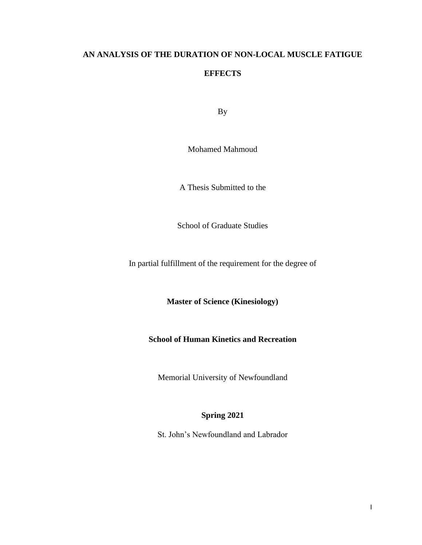# **AN ANALYSIS OF THE DURATION OF NON-LOCAL MUSCLE FATIGUE**

## **EFFECTS**

By

Mohamed Mahmoud

A Thesis Submitted to the

School of Graduate Studies

In partial fulfillment of the requirement for the degree of

**Master of Science (Kinesiology)** 

# **School of Human Kinetics and Recreation**

Memorial University of Newfoundland

# **Spring 2021**

St. John's Newfoundland and Labrador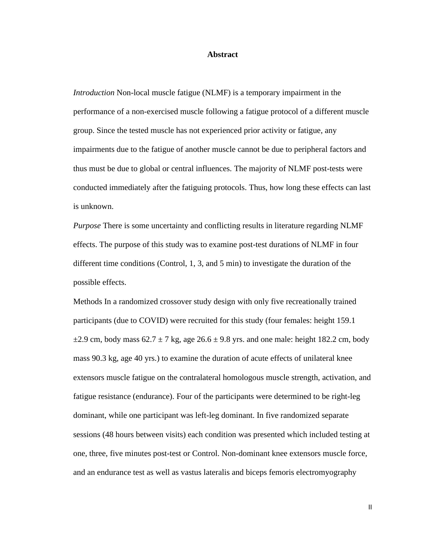#### **Abstract**

*Introduction* Non-local muscle fatigue (NLMF) is a temporary impairment in the performance of a non-exercised muscle following a fatigue protocol of a different muscle group. Since the tested muscle has not experienced prior activity or fatigue, any impairments due to the fatigue of another muscle cannot be due to peripheral factors and thus must be due to global or central influences. The majority of NLMF post-tests were conducted immediately after the fatiguing protocols. Thus, how long these effects can last is unknown.

*Purpose* There is some uncertainty and conflicting results in literature regarding NLMF effects. The purpose of this study was to examine post-test durations of NLMF in four different time conditions (Control, 1, 3, and 5 min) to investigate the duration of the possible effects.

Methods In a randomized crossover study design with only five recreationally trained participants (due to COVID) were recruited for this study (four females: height 159.1  $\pm$ 2.9 cm, body mass 62.7  $\pm$  7 kg, age 26.6  $\pm$  9.8 yrs. and one male: height 182.2 cm, body mass 90.3 kg, age 40 yrs.) to examine the duration of acute effects of unilateral knee extensors muscle fatigue on the contralateral homologous muscle strength, activation, and fatigue resistance (endurance). Four of the participants were determined to be right-leg dominant, while one participant was left-leg dominant. In five randomized separate sessions (48 hours between visits) each condition was presented which included testing at one, three, five minutes post-test or Control. Non-dominant knee extensors muscle force, and an endurance test as well as vastus lateralis and biceps femoris electromyography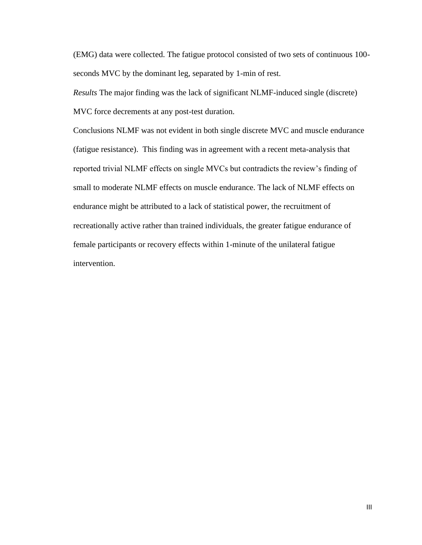(EMG) data were collected. The fatigue protocol consisted of two sets of continuous 100 seconds MVC by the dominant leg, separated by 1-min of rest.

*Results* The major finding was the lack of significant NLMF-induced single (discrete) MVC force decrements at any post-test duration.

Conclusions NLMF was not evident in both single discrete MVC and muscle endurance (fatigue resistance). This finding was in agreement with a recent meta-analysis that reported trivial NLMF effects on single MVCs but contradicts the review's finding of small to moderate NLMF effects on muscle endurance. The lack of NLMF effects on endurance might be attributed to a lack of statistical power, the recruitment of recreationally active rather than trained individuals, the greater fatigue endurance of female participants or recovery effects within 1-minute of the unilateral fatigue intervention.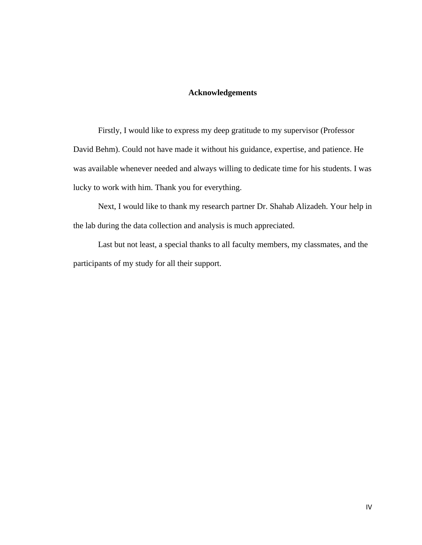## **Acknowledgements**

Firstly, I would like to express my deep gratitude to my supervisor (Professor David Behm). Could not have made it without his guidance, expertise, and patience. He was available whenever needed and always willing to dedicate time for his students. I was lucky to work with him. Thank you for everything.

Next, I would like to thank my research partner Dr. Shahab Alizadeh. Your help in the lab during the data collection and analysis is much appreciated.

Last but not least, a special thanks to all faculty members, my classmates, and the participants of my study for all their support.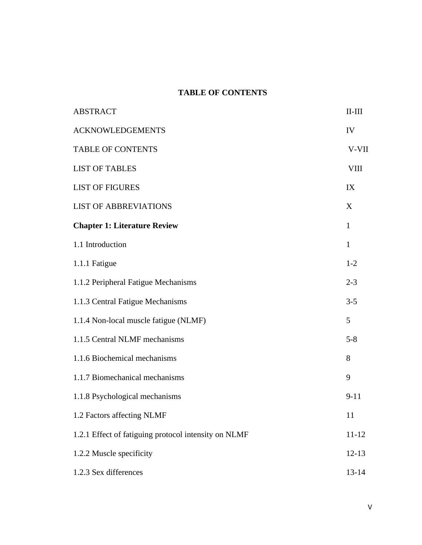# **TABLE OF CONTENTS**

| <b>ABSTRACT</b>                                      | $\rm II\text{-}III$ |
|------------------------------------------------------|---------------------|
| <b>ACKNOWLEDGEMENTS</b>                              | IV                  |
| <b>TABLE OF CONTENTS</b>                             | V-VII               |
| <b>LIST OF TABLES</b>                                | <b>VIII</b>         |
| <b>LIST OF FIGURES</b>                               | IX                  |
| <b>LIST OF ABBREVIATIONS</b>                         | X                   |
| <b>Chapter 1: Literature Review</b>                  | $\mathbf{1}$        |
| 1.1 Introduction                                     | $\mathbf{1}$        |
| 1.1.1 Fatigue                                        | $1 - 2$             |
| 1.1.2 Peripheral Fatigue Mechanisms                  | $2 - 3$             |
| 1.1.3 Central Fatigue Mechanisms                     | $3 - 5$             |
| 1.1.4 Non-local muscle fatigue (NLMF)                | 5                   |
| 1.1.5 Central NLMF mechanisms                        | $5 - 8$             |
| 1.1.6 Biochemical mechanisms                         | 8                   |
| 1.1.7 Biomechanical mechanisms                       | 9                   |
| 1.1.8 Psychological mechanisms                       | $9 - 11$            |
| 1.2 Factors affecting NLMF                           | 11                  |
| 1.2.1 Effect of fatiguing protocol intensity on NLMF | $11 - 12$           |
| 1.2.2 Muscle specificity                             | $12 - 13$           |
| 1.2.3 Sex differences                                | $13 - 14$           |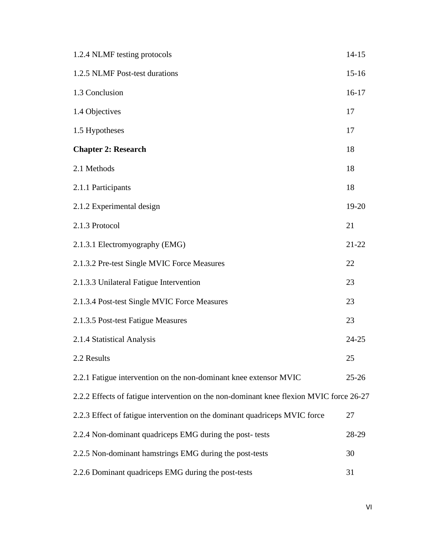| 1.2.4 NLMF testing protocols                                                            | $14 - 15$ |
|-----------------------------------------------------------------------------------------|-----------|
| 1.2.5 NLMF Post-test durations                                                          | $15 - 16$ |
| 1.3 Conclusion                                                                          | $16-17$   |
| 1.4 Objectives                                                                          | 17        |
| 1.5 Hypotheses                                                                          | 17        |
| <b>Chapter 2: Research</b>                                                              | 18        |
| 2.1 Methods                                                                             | 18        |
| 2.1.1 Participants                                                                      | 18        |
| 2.1.2 Experimental design                                                               | 19-20     |
| 2.1.3 Protocol                                                                          | 21        |
| 2.1.3.1 Electromyography (EMG)                                                          | $21 - 22$ |
| 2.1.3.2 Pre-test Single MVIC Force Measures                                             | 22        |
| 2.1.3.3 Unilateral Fatigue Intervention                                                 | 23        |
| 2.1.3.4 Post-test Single MVIC Force Measures                                            | 23        |
| 2.1.3.5 Post-test Fatigue Measures                                                      | 23        |
| 2.1.4 Statistical Analysis                                                              | $24 - 25$ |
| 2.2 Results                                                                             | 25        |
| 2.2.1 Fatigue intervention on the non-dominant knee extensor MVIC                       | $25 - 26$ |
| 2.2.2 Effects of fatigue intervention on the non-dominant knee flexion MVIC force 26-27 |           |
| 2.2.3 Effect of fatigue intervention on the dominant quadriceps MVIC force              | 27        |
| 2.2.4 Non-dominant quadriceps EMG during the post- tests                                | 28-29     |
| 2.2.5 Non-dominant hamstrings EMG during the post-tests                                 | 30        |
| 2.2.6 Dominant quadriceps EMG during the post-tests                                     | 31        |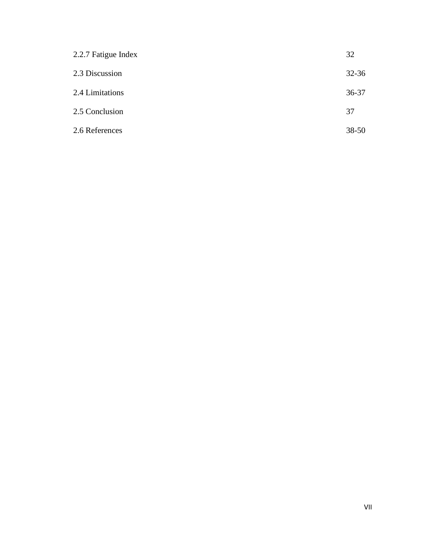| 2.2.7 Fatigue Index | 32        |
|---------------------|-----------|
| 2.3 Discussion      | $32 - 36$ |
| 2.4 Limitations     | $36 - 37$ |
| 2.5 Conclusion      | 37        |
| 2.6 References      | $38 - 50$ |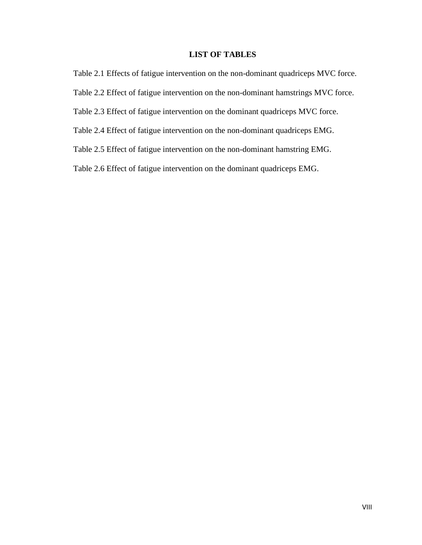## **LIST OF TABLES**

Table 2.1 Effects of fatigue intervention on the non-dominant quadriceps MVC force.

Table 2.2 Effect of fatigue intervention on the non-dominant hamstrings MVC force.

Table 2.3 Effect of fatigue intervention on the dominant quadriceps MVC force.

Table 2.4 Effect of fatigue intervention on the non-dominant quadriceps EMG.

Table 2.5 Effect of fatigue intervention on the non-dominant hamstring EMG.

Table 2.6 Effect of fatigue intervention on the dominant quadriceps EMG.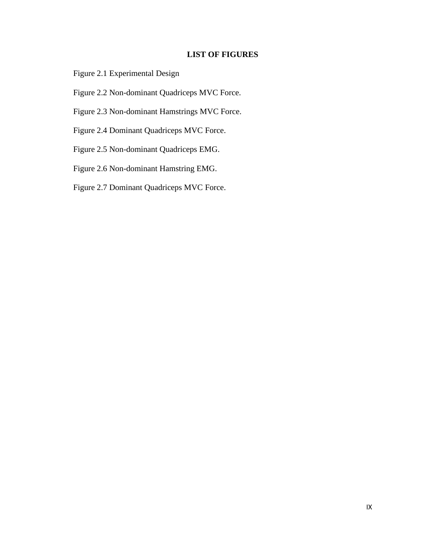# **LIST OF FIGURES**

Figure 2.1 Experimental Design

Figure 2.2 Non-dominant Quadriceps MVC Force.

Figure 2.3 Non-dominant Hamstrings MVC Force.

Figure 2.4 Dominant Quadriceps MVC Force.

Figure 2.5 Non-dominant Quadriceps EMG.

Figure 2.6 Non-dominant Hamstring EMG.

Figure 2.7 Dominant Quadriceps MVC Force.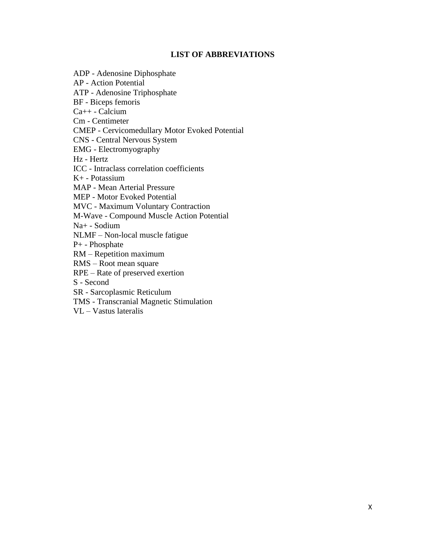# **LIST OF ABBREVIATIONS**

ADP - Adenosine Diphosphate AP - Action Potential ATP - Adenosine Triphosphate BF - Biceps femoris Ca++ - Calcium Cm - Centimeter CMEP - Cervicomedullary Motor Evoked Potential CNS - Central Nervous System EMG - Electromyography Hz - Hertz ICC - Intraclass correlation coefficients K+ - Potassium MAP - Mean Arterial Pressure MEP - Motor Evoked Potential MVC - Maximum Voluntary Contraction M-Wave - Compound Muscle Action Potential Na+ - Sodium NLMF – Non-local muscle fatigue P+ - Phosphate RM – Repetition maximum RMS – Root mean square RPE – Rate of preserved exertion S - Second SR - Sarcoplasmic Reticulum TMS - Transcranial Magnetic Stimulation VL – Vastus lateralis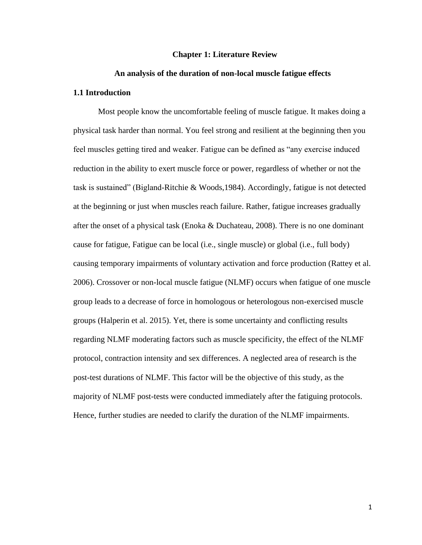#### **Chapter 1: Literature Review**

#### **An analysis of the duration of non-local muscle fatigue effects**

### **1.1 Introduction**

Most people know the uncomfortable feeling of muscle fatigue. It makes doing a physical task harder than normal. You feel strong and resilient at the beginning then you feel muscles getting tired and weaker. Fatigue can be defined as "any exercise induced reduction in the ability to exert muscle force or power, regardless of whether or not the task is sustained" (Bigland-Ritchie & Woods,1984). Accordingly, fatigue is not detected at the beginning or just when muscles reach failure. Rather, fatigue increases gradually after the onset of a physical task (Enoka & Duchateau, 2008). There is no one dominant cause for fatigue, Fatigue can be local (i.e., single muscle) or global (i.e., full body) causing temporary impairments of voluntary activation and force production (Rattey et al. 2006). Crossover or non-local muscle fatigue (NLMF) occurs when fatigue of one muscle group leads to a decrease of force in homologous or heterologous non-exercised muscle groups (Halperin et al. 2015). Yet, there is some uncertainty and conflicting results regarding NLMF moderating factors such as muscle specificity, the effect of the NLMF protocol, contraction intensity and sex differences. A neglected area of research is the post-test durations of NLMF. This factor will be the objective of this study, as the majority of NLMF post-tests were conducted immediately after the fatiguing protocols. Hence, further studies are needed to clarify the duration of the NLMF impairments.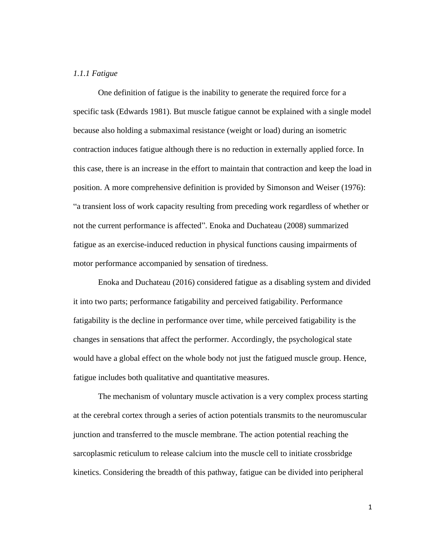## *1.1.1 Fatigue*

One definition of fatigue is the inability to generate the required force for a specific task (Edwards 1981). But muscle fatigue cannot be explained with a single model because also holding a submaximal resistance (weight or load) during an isometric contraction induces fatigue although there is no reduction in externally applied force. In this case, there is an increase in the effort to maintain that contraction and keep the load in position. A more comprehensive definition is provided by Simonson and Weiser (1976): "a transient loss of work capacity resulting from preceding work regardless of whether or not the current performance is affected". Enoka and Duchateau (2008) summarized fatigue as an exercise-induced reduction in physical functions causing impairments of motor performance accompanied by sensation of tiredness.

Enoka and Duchateau (2016) considered fatigue as a disabling system and divided it into two parts; performance fatigability and perceived fatigability. Performance fatigability is the decline in performance over time, while perceived fatigability is the changes in sensations that affect the performer. Accordingly, the psychological state would have a global effect on the whole body not just the fatigued muscle group. Hence, fatigue includes both qualitative and quantitative measures.

The mechanism of voluntary muscle activation is a very complex process starting at the cerebral cortex through a series of action potentials transmits to the neuromuscular junction and transferred to the muscle membrane. The action potential reaching the sarcoplasmic reticulum to release calcium into the muscle cell to initiate crossbridge kinetics. Considering the breadth of this pathway, fatigue can be divided into peripheral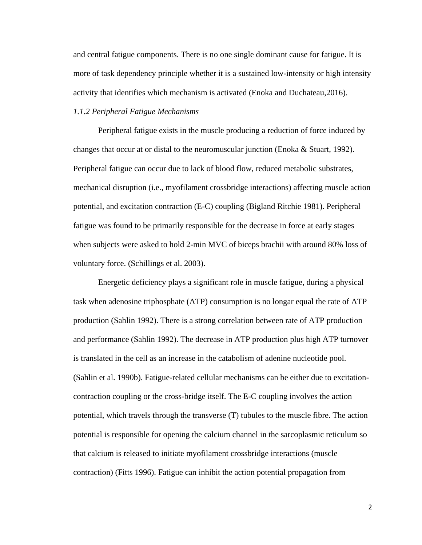and central fatigue components. There is no one single dominant cause for fatigue. It is more of task dependency principle whether it is a sustained low-intensity or high intensity activity that identifies which mechanism is activated (Enoka and Duchateau,2016).

## *1.1.2 Peripheral Fatigue Mechanisms*

Peripheral fatigue exists in the muscle producing a reduction of force induced by changes that occur at or distal to the neuromuscular junction (Enoka  $\&$  Stuart, 1992). Peripheral fatigue can occur due to lack of blood flow, reduced metabolic substrates, mechanical disruption (i.e., myofilament crossbridge interactions) affecting muscle action potential, and excitation contraction (E-C) coupling (Bigland Ritchie 1981). Peripheral fatigue was found to be primarily responsible for the decrease in force at early stages when subjects were asked to hold 2-min MVC of biceps brachii with around 80% loss of voluntary force. (Schillings et al. 2003).

Energetic deficiency plays a significant role in muscle fatigue, during a physical task when adenosine triphosphate (ATP) consumption is no longar equal the rate of ATP production (Sahlin 1992). There is a strong correlation between rate of ATP production and performance (Sahlin 1992). The decrease in ATP production plus high ATP turnover is translated in the cell as an increase in the catabolism of adenine nucleotide pool. (Sahlin et al. 1990b). Fatigue-related cellular mechanisms can be either due to excitationcontraction coupling or the cross-bridge itself. The E-C coupling involves the action potential, which travels through the transverse (T) tubules to the muscle fibre. The action potential is responsible for opening the calcium channel in the sarcoplasmic reticulum so that calcium is released to initiate myofilament crossbridge interactions (muscle contraction) (Fitts 1996). Fatigue can inhibit the action potential propagation from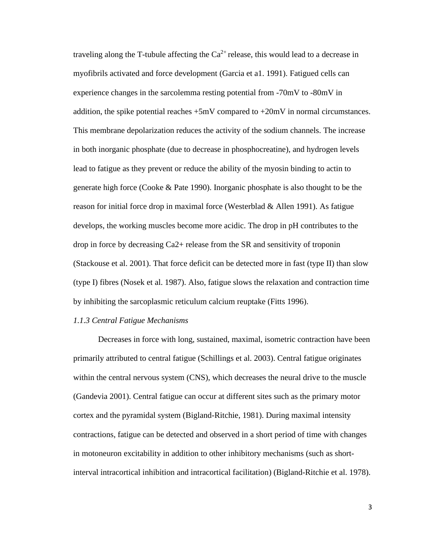traveling along the T-tubule affecting the  $Ca^{2+}$  release, this would lead to a decrease in myofibrils activated and force development (Garcia et a1. 1991). Fatigued cells can experience changes in the sarcolemma resting potential from -70mV to -80mV in addition, the spike potential reaches  $+5mV$  compared to  $+20mV$  in normal circumstances. This membrane depolarization reduces the activity of the sodium channels. The increase in both inorganic phosphate (due to decrease in phosphocreatine), and hydrogen levels lead to fatigue as they prevent or reduce the ability of the myosin binding to actin to generate high force (Cooke & Pate 1990). Inorganic phosphate is also thought to be the reason for initial force drop in maximal force (Westerblad & Allen 1991). As fatigue develops, the working muscles become more acidic. The drop in pH contributes to the drop in force by decreasing Ca2+ release from the SR and sensitivity of troponin (Stackouse et al. 2001). That force deficit can be detected more in fast (type II) than slow (type I) fibres (Nosek et al. 1987). Also, fatigue slows the relaxation and contraction time by inhibiting the sarcoplasmic reticulum calcium reuptake (Fitts 1996).

#### *1.1.3 Central Fatigue Mechanisms*

Decreases in force with long, sustained, maximal, isometric contraction have been primarily attributed to central fatigue (Schillings et al. 2003). Central fatigue originates within the central nervous system (CNS), which decreases the neural drive to the muscle (Gandevia 2001). Central fatigue can occur at different sites such as the primary motor cortex and the pyramidal system (Bigland-Ritchie, 1981). During maximal intensity contractions, fatigue can be detected and observed in a short period of time with changes in motoneuron excitability in addition to other inhibitory mechanisms (such as shortinterval intracortical inhibition and intracortical facilitation) (Bigland-Ritchie et al. 1978).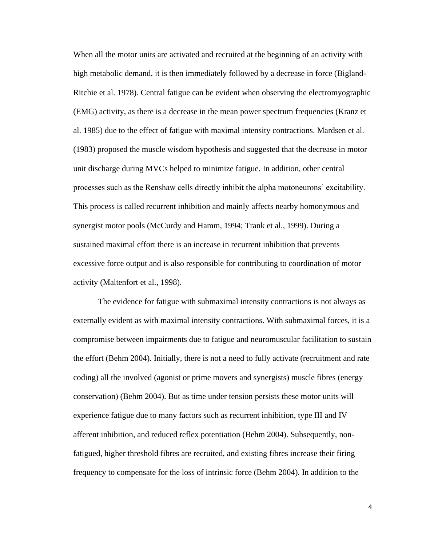When all the motor units are activated and recruited at the beginning of an activity with high metabolic demand, it is then immediately followed by a decrease in force (Bigland-Ritchie et al. 1978). Central fatigue can be evident when observing the electromyographic (EMG) activity, as there is a decrease in the mean power spectrum frequencies (Kranz et al. 1985) due to the effect of fatigue with maximal intensity contractions. Mardsen et al. (1983) proposed the muscle wisdom hypothesis and suggested that the decrease in motor unit discharge during MVCs helped to minimize fatigue. In addition, other central processes such as the Renshaw cells directly inhibit the alpha motoneurons' excitability. This process is called recurrent inhibition and mainly affects nearby homonymous and synergist motor pools (McCurdy and Hamm, 1994; Trank et al., 1999). During a sustained maximal effort there is an increase in recurrent inhibition that prevents excessive force output and is also responsible for contributing to coordination of motor activity (Maltenfort et al., 1998).

The evidence for fatigue with submaximal intensity contractions is not always as externally evident as with maximal intensity contractions. With submaximal forces, it is a compromise between impairments due to fatigue and neuromuscular facilitation to sustain the effort (Behm 2004). Initially, there is not a need to fully activate (recruitment and rate coding) all the involved (agonist or prime movers and synergists) muscle fibres (energy conservation) (Behm 2004). But as time under tension persists these motor units will experience fatigue due to many factors such as recurrent inhibition, type III and IV afferent inhibition, and reduced reflex potentiation (Behm 2004). Subsequently, nonfatigued, higher threshold fibres are recruited, and existing fibres increase their firing frequency to compensate for the loss of intrinsic force (Behm 2004). In addition to the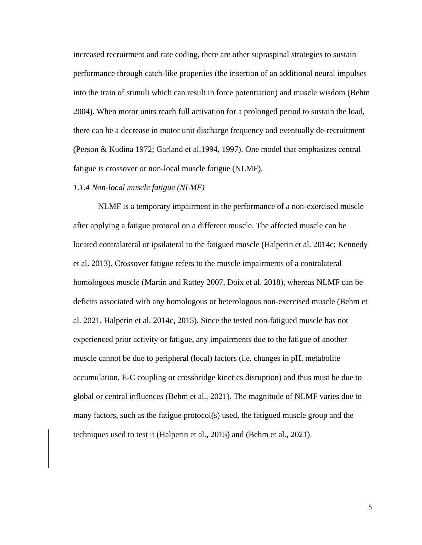increased recruitment and rate coding, there are other supraspinal strategies to sustain performance through catch-like properties (the insertion of an additional neural impulses into the train of stimuli which can result in force potentiation) and muscle wisdom (Behm 2004). When motor units reach full activation for a prolonged period to sustain the load, there can be a decrease in motor unit discharge frequency and eventually de-recruitment (Person & Kudina 1972; Garland et al.1994, 1997). One model that emphasizes central fatigue is crossover or non-local muscle fatigue (NLMF).

## *1.1.4 Non-local muscle fatigue (NLMF)*

NLMF is a temporary impairment in the performance of a non-exercised muscle after applying a fatigue protocol on a different muscle. The affected muscle can be located contralateral or ipsilateral to the fatigued muscle (Halperin et al. 2014c; Kennedy et al. 2013). Crossover fatigue refers to the muscle impairments of a contralateral homologous muscle (Martin and Rattey 2007, Doix et al. 2018), whereas NLMF can be deficits associated with any homologous or heterologous non-exercised muscle (Behm et al. 2021, Halperin et al. 2014c, 2015). Since the tested non-fatigued muscle has not experienced prior activity or fatigue, any impairments due to the fatigue of another muscle cannot be due to peripheral (local) factors (i.e. changes in pH, metabolite accumulation, E-C coupling or crossbridge kinetics disruption) and thus must be due to global or central influences (Behm et al., 2021). The magnitude of NLMF varies due to many factors, such as the fatigue protocol(s) used, the fatigued muscle group and the techniques used to test it [\(Halperin et al.,](javascript:void(0);) 2015) and (Behm et al., 2021).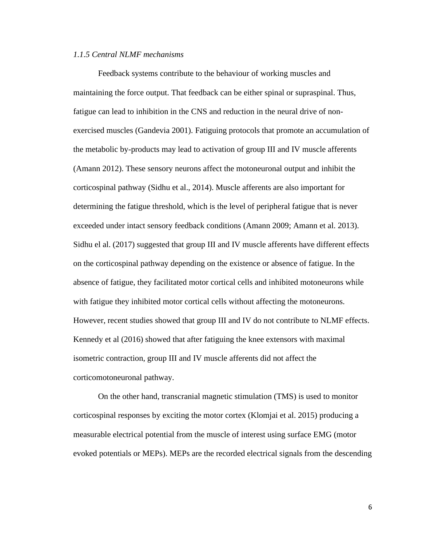## *1.1.5 Central NLMF mechanisms*

Feedback systems contribute to the behaviour of working muscles and maintaining the force output. That feedback can be either spinal or supraspinal. Thus, fatigue can lead to inhibition in the CNS and reduction in the neural drive of nonexercised muscles (Gandevia 2001). Fatiguing protocols that promote an accumulation of the metabolic by-products may lead to activation of group III and IV muscle afferents (Amann 2012). These sensory neurons affect the motoneuronal output and inhibit the corticospinal pathway (Sidhu et al., 2014). Muscle afferents are also important for determining the fatigue threshold, which is the level of peripheral fatigue that is never exceeded under intact sensory feedback conditions (Amann 2009; Amann et al. 2013). Sidhu el al. (2017) suggested that group III and IV muscle afferents have different effects on the corticospinal pathway depending on the existence or absence of fatigue. In the absence of fatigue, they facilitated motor cortical cells and inhibited motoneurons while with fatigue they inhibited motor cortical cells without affecting the motoneurons. However, recent studies showed that group III and IV do not contribute to NLMF effects. Kennedy et al (2016) showed that after fatiguing the knee extensors with maximal isometric contraction, group III and IV muscle afferents did not affect the corticomotoneuronal pathway.

On the other hand, transcranial magnetic stimulation (TMS) is used to monitor corticospinal responses by exciting the motor cortex (Klomjai et al. 2015) producing a measurable electrical potential from the muscle of interest using surface EMG (motor evoked potentials or MEPs). MEPs are the recorded electrical signals from the descending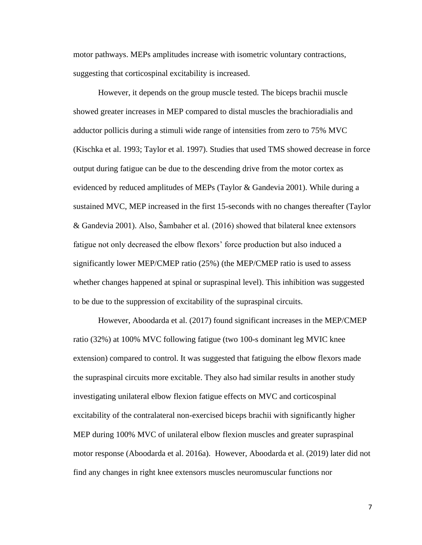motor pathways. MEPs amplitudes increase with isometric voluntary contractions, suggesting that corticospinal excitability is increased.

However, it depends on the group muscle tested. The biceps brachii muscle showed greater increases in MEP compared to distal muscles the brachioradialis and adductor pollicis during a stimuli wide range of intensities from zero to 75% MVC (Kischka et al. 1993; Taylor et al. 1997). Studies that used TMS showed decrease in force output during fatigue can be due to the descending drive from the motor cortex as evidenced by reduced amplitudes of MEPs (Taylor & Gandevia 2001). While during a sustained MVC, MEP increased in the first 15-seconds with no changes thereafter (Taylor & Gandevia 2001). Also, Šambaher et al. (2016) showed that bilateral knee extensors fatigue not only decreased the elbow flexors' force production but also induced a significantly lower MEP/CMEP ratio (25%) (the MEP/CMEP ratio is used to assess whether changes happened at spinal or supraspinal level). This inhibition was suggested to be due to the suppression of excitability of the supraspinal circuits.

However, Aboodarda et al. (2017) found significant increases in the MEP/CMEP ratio (32%) at 100% MVC following fatigue (two 100-s dominant leg MVIC knee extension) compared to control. It was suggested that fatiguing the elbow flexors made the supraspinal circuits more excitable. They also had similar results in another study investigating unilateral elbow flexion fatigue effects on MVC and corticospinal excitability of the contralateral non-exercised biceps brachii with significantly higher MEP during 100% MVC of unilateral elbow flexion muscles and greater supraspinal motor response (Aboodarda et al. 2016a). However, Aboodarda et al. (2019) later did not find any changes in right knee extensors muscles neuromuscular functions nor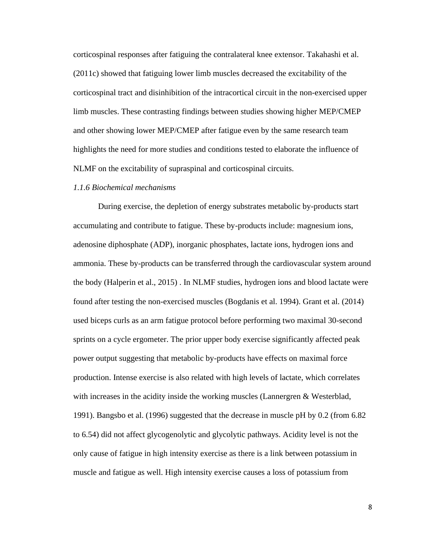corticospinal responses after fatiguing the contralateral knee extensor. Takahashi et al. (2011c) showed that fatiguing lower limb muscles decreased the excitability of the corticospinal tract and disinhibition of the intracortical circuit in the non-exercised upper limb muscles. These contrasting findings between studies showing higher MEP/CMEP and other showing lower MEP/CMEP after fatigue even by the same research team highlights the need for more studies and conditions tested to elaborate the influence of NLMF on the excitability of supraspinal and corticospinal circuits.

## *1.1.6 Biochemical mechanisms*

During exercise, the depletion of energy substrates metabolic by-products start accumulating and contribute to fatigue. These by-products include: magnesium ions, adenosine diphosphate (ADP), inorganic phosphates, lactate ions, hydrogen ions and ammonia. These by-products can be transferred through the cardiovascular system around the body (Halperin et al., 2015) . In NLMF studies, hydrogen ions and blood lactate were found after testing the non-exercised muscles (Bogdanis et al. 1994). Grant et al. (2014) used biceps curls as an arm fatigue protocol before performing two maximal 30-second sprints on a cycle ergometer. The prior upper body exercise significantly affected peak power output suggesting that metabolic by-products have effects on maximal force production. Intense exercise is also related with high levels of lactate, which correlates with increases in the acidity inside the working muscles (Lannergren & Westerblad, 1991). Bangsbo et al. (1996) suggested that the decrease in muscle pH by 0.2 (from 6.82 to 6.54) did not affect glycogenolytic and glycolytic pathways. Acidity level is not the only cause of fatigue in high intensity exercise as there is a link between potassium in muscle and fatigue as well. High intensity exercise causes a loss of potassium from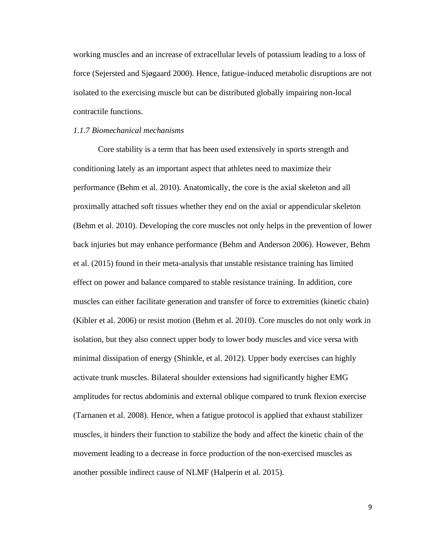working muscles and an increase of extracellular levels of potassium leading to a loss of force (Sejersted and Sjøgaard 2000). Hence, fatigue-induced metabolic disruptions are not isolated to the exercising muscle but can be distributed globally impairing non-local contractile functions.

#### *1.1.7 Biomechanical mechanisms*

Core stability is a term that has been used extensively in sports strength and conditioning lately as an important aspect that athletes need to maximize their performance (Behm et al. 2010). Anatomically, the core is the axial skeleton and all proximally attached soft tissues whether they end on the axial or appendicular skeleton (Behm et al. 2010). Developing the core muscles not only helps in the prevention of lower back injuries but may enhance performance (Behm and Anderson 2006). However, Behm et al. (2015) found in their meta-analysis that unstable resistance training has limited effect on power and balance compared to stable resistance training. In addition, core muscles can either facilitate generation and transfer of force to extremities (kinetic chain) (Kibler et al. 2006) or resist motion (Behm et al. 2010). Core muscles do not only work in isolation, but they also connect upper body to lower body muscles and vice versa with minimal dissipation of energy (Shinkle, et al. 2012). Upper body exercises can highly activate trunk muscles. Bilateral shoulder extensions had significantly higher EMG amplitudes for rectus abdominis and external oblique compared to trunk flexion exercise (Tarnanen et al. 2008). Hence, when a fatigue protocol is applied that exhaust stabilizer muscles, it hinders their function to stabilize the body and affect the kinetic chain of the movement leading to a decrease in force production of the non-exercised muscles as another possible indirect cause of NLMF (Halperin et al. 2015).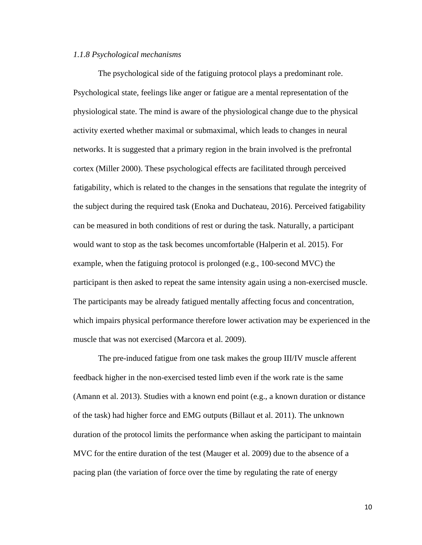#### *1.1.8 Psychological mechanisms*

The psychological side of the fatiguing protocol plays a predominant role. Psychological state, feelings like anger or fatigue are a mental representation of the physiological state. The mind is aware of the physiological change due to the physical activity exerted whether maximal or submaximal, which leads to changes in neural networks. It is suggested that a primary region in the brain involved is the prefrontal cortex (Miller 2000). These psychological effects are facilitated through perceived fatigability, which is related to the changes in the sensations that regulate the integrity of the subject during the required task (Enoka and Duchateau, 2016). Perceived fatigability can be measured in both conditions of rest or during the task. Naturally, a participant would want to stop as the task becomes uncomfortable (Halperin et al. 2015). For example, when the fatiguing protocol is prolonged (e.g., 100-second MVC) the participant is then asked to repeat the same intensity again using a non-exercised muscle. The participants may be already fatigued mentally affecting focus and concentration, which impairs physical performance therefore lower activation may be experienced in the muscle that was not exercised (Marcora et al. 2009).

The pre-induced fatigue from one task makes the group III/IV muscle afferent feedback higher in the non-exercised tested limb even if the work rate is the same (Amann et al. 2013). Studies with a known end point (e.g., a known duration or distance of the task) had higher force and EMG outputs (Billaut et al. 2011). The unknown duration of the protocol limits the performance when asking the participant to maintain MVC for the entire duration of the test (Mauger et al. 2009) due to the absence of a pacing plan (the variation of force over the time by regulating the rate of energy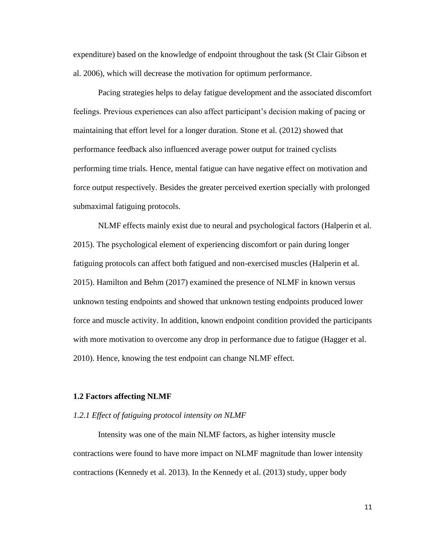expenditure) based on the knowledge of endpoint throughout the task (St Clair Gibson et al. 2006), which will decrease the motivation for optimum performance.

Pacing strategies helps to delay fatigue development and the associated discomfort feelings. Previous experiences can also affect participant's decision making of pacing or maintaining that effort level for a longer duration. Stone et al. (2012) showed that performance feedback also influenced average power output for trained cyclists performing time trials. Hence, mental fatigue can have negative effect on motivation and force output respectively. Besides the greater perceived exertion specially with prolonged submaximal fatiguing protocols.

NLMF effects mainly exist due to neural and psychological factors (Halperin et al. 2015). The psychological element of experiencing discomfort or pain during longer fatiguing protocols can affect both fatigued and non-exercised muscles (Halperin et al. 2015). Hamilton and Behm (2017) examined the presence of NLMF in known versus unknown testing endpoints and showed that unknown testing endpoints produced lower force and muscle activity. In addition, known endpoint condition provided the participants with more motivation to overcome any drop in performance due to fatigue (Hagger et al. 2010). Hence, knowing the test endpoint can change NLMF effect.

#### **1.2 Factors affecting NLMF**

#### *1.2.1 Effect of fatiguing protocol intensity on NLMF*

Intensity was one of the main NLMF factors, as higher intensity muscle contractions were found to have more impact on NLMF magnitude than lower intensity contractions (Kennedy et al. 2013). In the Kennedy et al. (2013) study, upper body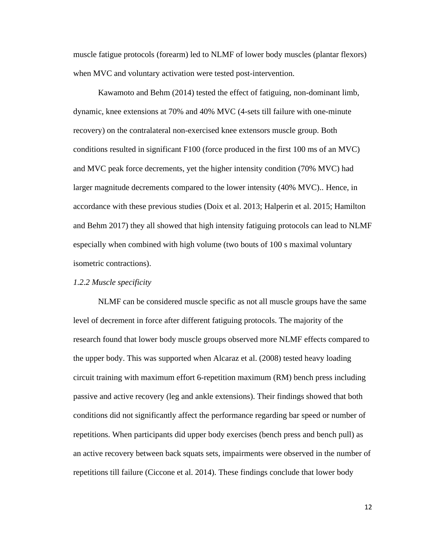muscle fatigue protocols (forearm) led to NLMF of lower body muscles (plantar flexors) when MVC and voluntary activation were tested post-intervention.

Kawamoto and Behm (2014) tested the effect of fatiguing, non-dominant limb, dynamic, knee extensions at 70% and 40% MVC (4-sets till failure with one-minute recovery) on the contralateral non-exercised knee extensors muscle group. Both conditions resulted in significant F100 (force produced in the first 100 ms of an MVC) and MVC peak force decrements, yet the higher intensity condition (70% MVC) had larger magnitude decrements compared to the lower intensity (40% MVC).. Hence, in accordance with these previous studies (Doix et al. 2013; Halperin et al. 2015; Hamilton and Behm 2017) they all showed that high intensity fatiguing protocols can lead to NLMF especially when combined with high volume (two bouts of 100 s maximal voluntary isometric contractions).

#### *1.2.2 Muscle specificity*

NLMF can be considered muscle specific as not all muscle groups have the same level of decrement in force after different fatiguing protocols. The majority of the research found that lower body muscle groups observed more NLMF effects compared to the upper body. This was supported when Alcaraz et al. (2008) tested heavy loading circuit training with maximum effort 6-repetition maximum (RM) bench press including passive and active recovery (leg and ankle extensions). Their findings showed that both conditions did not significantly affect the performance regarding bar speed or number of repetitions. When participants did upper body exercises (bench press and bench pull) as an active recovery between back squats sets, impairments were observed in the number of repetitions till failure (Ciccone et al. 2014). These findings conclude that lower body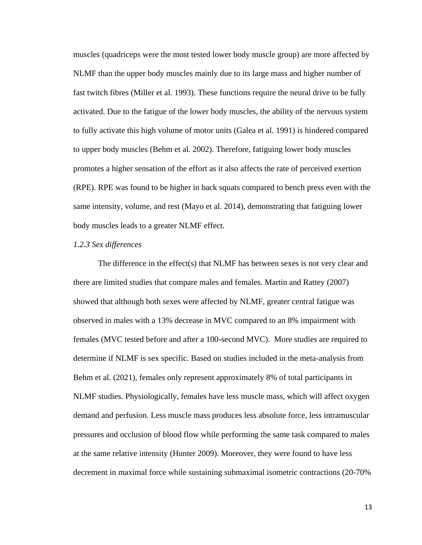muscles (quadriceps were the most tested lower body muscle group) are more affected by NLMF than the upper body muscles mainly due to its large mass and higher number of fast twitch fibres (Miller et al. 1993). These functions require the neural drive to be fully activated. Due to the fatigue of the lower body muscles, the ability of the nervous system to fully activate this high volume of motor units (Galea et al. 1991) is hindered compared to upper body muscles (Behm et al. 2002). Therefore, fatiguing lower body muscles promotes a higher sensation of the effort as it also affects the rate of perceived exertion (RPE). RPE was found to be higher in back squats compared to bench press even with the same intensity, volume, and rest (Mayo et al. 2014), demonstrating that fatiguing lower body muscles leads to a greater NLMF effect.

#### *1.2.3 Sex differences*

The difference in the effect(s) that NLMF has between sexes is not very clear and there are limited studies that compare males and females. Martin and Rattey (2007) showed that although both sexes were affected by NLMF, greater central fatigue was observed in males with a 13% decrease in MVC compared to an 8% impairment with females (MVC tested before and after a 100-second MVC). More studies are required to determine if NLMF is sex specific. Based on studies included in the meta-analysis from Behm et al. (2021), females only represent approximately 8% of total participants in NLMF studies. Physiologically, females have less muscle mass, which will affect oxygen demand and perfusion. Less muscle mass produces less absolute force, less intramuscular pressures and occlusion of blood flow while performing the same task compared to males at the same relative intensity (Hunter 2009). Moreover, they were found to have less decrement in maximal force while sustaining submaximal isometric contractions (20-70%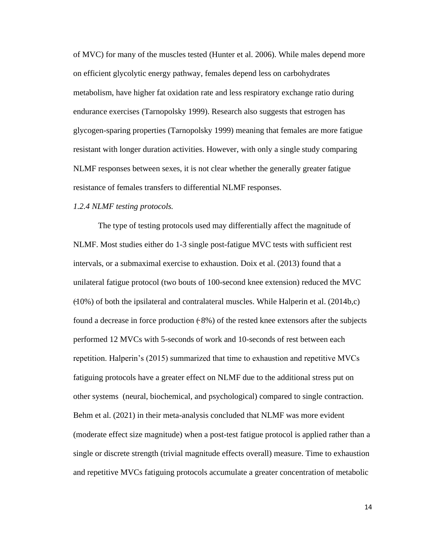of MVC) for many of the muscles tested (Hunter et al. 2006). While males depend more on efficient glycolytic energy pathway, females depend less on carbohydrates metabolism, have higher fat oxidation rate and less respiratory exchange ratio during endurance exercises (Tarnopolsky 1999). Research also suggests that estrogen has glycogen-sparing properties (Tarnopolsky 1999) meaning that females are more fatigue resistant with longer duration activities. However, with only a single study comparing NLMF responses between sexes, it is not clear whether the generally greater fatigue resistance of females transfers to differential NLMF responses.

## *1.2.4 NLMF testing protocols.*

The type of testing protocols used may differentially affect the magnitude of NLMF. Most studies either do 1-3 single post-fatigue MVC tests with sufficient rest intervals, or a submaximal exercise to exhaustion. Doix et al. (2013) found that a unilateral fatigue protocol (two bouts of 100-second knee extension) reduced the MVC  $(10\%)$  of both the ipsilateral and contralateral muscles. While Halperin et al. (2014b,c) found a decrease in force production  $(8\%)$  of the rested knee extensors after the subjects performed 12 MVCs with 5-seconds of work and 10-seconds of rest between each repetition. Halperin's (2015) summarized that time to exhaustion and repetitive MVCs fatiguing protocols have a greater effect on NLMF due to the additional stress put on other systems (neural, biochemical, and psychological) compared to single contraction. Behm et al. (2021) in their meta-analysis concluded that NLMF was more evident (moderate effect size magnitude) when a post-test fatigue protocol is applied rather than a single or discrete strength (trivial magnitude effects overall) measure. Time to exhaustion and repetitive MVCs fatiguing protocols accumulate a greater concentration of metabolic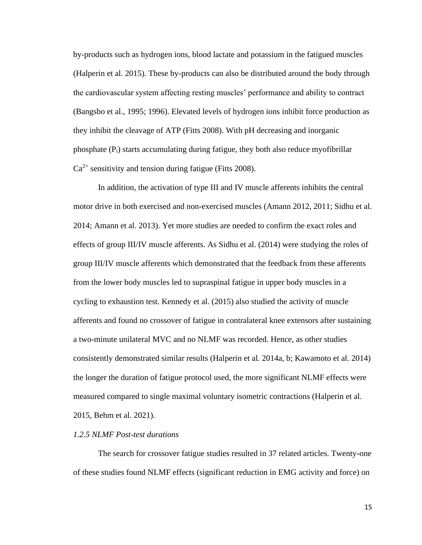by-products such as hydrogen ions, blood lactate and potassium in the fatigued muscles (Halperin et al. 2015). These by-products can also be distributed around the body through the cardiovascular system affecting resting muscles' performance and ability to contract (Bangsbo et al., 1995; 1996). Elevated levels of hydrogen ions inhibit force production as they inhibit the cleavage of ATP (Fitts 2008). With pH decreasing and inorganic phosphate (Pi) starts accumulating during fatigue, they both also reduce myofibrillar  $Ca^{2+}$  sensitivity and tension during fatigue (Fitts 2008).

In addition, the activation of type III and IV muscle afferents inhibits the central motor drive in both exercised and non-exercised muscles (Amann 2012, 2011; Sidhu et al. 2014; Amann et al. 2013). Yet more studies are needed to confirm the exact roles and effects of group III/IV muscle afferents. As Sidhu et al. (2014) were studying the roles of group III/IV muscle afferents which demonstrated that the feedback from these afferents from the lower body muscles led to supraspinal fatigue in upper body muscles in a cycling to exhaustion test. Kennedy et al. (2015) also studied the activity of muscle afferents and found no crossover of fatigue in contralateral knee extensors after sustaining a two-minute unilateral MVC and no NLMF was recorded. Hence, as other studies consistently demonstrated similar results (Halperin et al. 2014a, b; Kawamoto et al. 2014) the longer the duration of fatigue protocol used, the more significant NLMF effects were measured compared to single maximal voluntary isometric contractions (Halperin et al. 2015, Behm et al. 2021).

#### *1.2.5 NLMF Post-test durations*

The search for crossover fatigue studies resulted in 37 related articles. Twenty-one of these studies found NLMF effects (significant reduction in EMG activity and force) on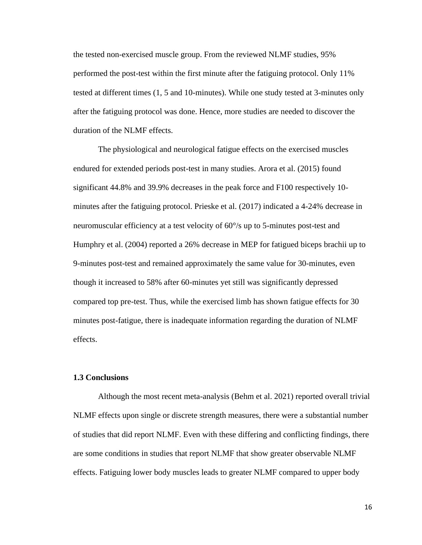the tested non-exercised muscle group. From the reviewed NLMF studies, 95% performed the post-test within the first minute after the fatiguing protocol. Only 11% tested at different times (1, 5 and 10-minutes). While one study tested at 3-minutes only after the fatiguing protocol was done. Hence, more studies are needed to discover the duration of the NLMF effects.

The physiological and neurological fatigue effects on the exercised muscles endured for extended periods post-test in many studies. Arora et al. (2015) found significant 44.8% and 39.9% decreases in the peak force and F100 respectively 10 minutes after the fatiguing protocol. Prieske et al. (2017) indicated a 4-24% decrease in neuromuscular efficiency at a test velocity of 60°/s up to 5-minutes post-test and Humphry et al. (2004) reported a 26% decrease in MEP for fatigued biceps brachii up to 9-minutes post-test and remained approximately the same value for 30-minutes, even though it increased to 58% after 60-minutes yet still was significantly depressed compared top pre-test. Thus, while the exercised limb has shown fatigue effects for 30 minutes post-fatigue, there is inadequate information regarding the duration of NLMF effects.

#### **1.3 Conclusions**

Although the most recent meta-analysis (Behm et al. 2021) reported overall trivial NLMF effects upon single or discrete strength measures, there were a substantial number of studies that did report NLMF. Even with these differing and conflicting findings, there are some conditions in studies that report NLMF that show greater observable NLMF effects. Fatiguing lower body muscles leads to greater NLMF compared to upper body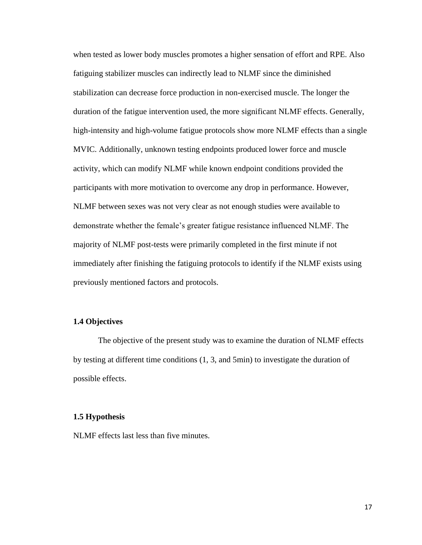when tested as lower body muscles promotes a higher sensation of effort and RPE. Also fatiguing stabilizer muscles can indirectly lead to NLMF since the diminished stabilization can decrease force production in non-exercised muscle. The longer the duration of the fatigue intervention used, the more significant NLMF effects. Generally, high-intensity and high-volume fatigue protocols show more NLMF effects than a single MVIC. Additionally, unknown testing endpoints produced lower force and muscle activity, which can modify NLMF while known endpoint conditions provided the participants with more motivation to overcome any drop in performance. However, NLMF between sexes was not very clear as not enough studies were available to demonstrate whether the female's greater fatigue resistance influenced NLMF. The majority of NLMF post-tests were primarily completed in the first minute if not immediately after finishing the fatiguing protocols to identify if the NLMF exists using previously mentioned factors and protocols.

## **1.4 Objectives**

The objective of the present study was to examine the duration of NLMF effects by testing at different time conditions (1, 3, and 5min) to investigate the duration of possible effects.

## **1.5 Hypothesis**

NLMF effects last less than five minutes.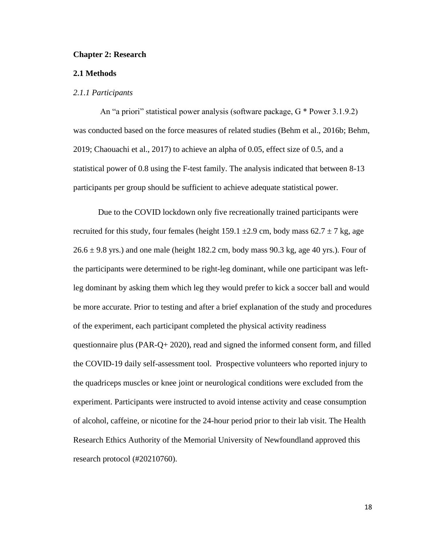#### **Chapter 2: Research**

## **2.1 Methods**

#### *2.1.1 Participants*

An "a priori" statistical power analysis (software package, G \* Power 3.1.9.2) was conducted based on the force measures of related studies (Behm et al., 2016b; Behm, 2019; Chaouachi et al., 2017) to achieve an alpha of 0.05, effect size of 0.5, and a statistical power of 0.8 using the F-test family. The analysis indicated that between 8-13 participants per group should be sufficient to achieve adequate statistical power.

Due to the COVID lockdown only five recreationally trained participants were recruited for this study, four females (height 159.1  $\pm$ 2.9 cm, body mass 62.7  $\pm$  7 kg, age  $26.6 \pm 9.8$  yrs.) and one male (height 182.2 cm, body mass 90.3 kg, age 40 yrs.). Four of the participants were determined to be right-leg dominant, while one participant was leftleg dominant by asking them which leg they would prefer to kick a soccer ball and would be more accurate. Prior to testing and after a brief explanation of the study and procedures of the experiment, each participant completed the physical activity readiness questionnaire plus (PAR-Q+ 2020), read and signed the informed consent form, and filled the COVID-19 daily self-assessment tool. Prospective volunteers who reported injury to the quadriceps muscles or knee joint or neurological conditions were excluded from the experiment. Participants were instructed to avoid intense activity and cease consumption of alcohol, caffeine, or nicotine for the 24-hour period prior to their lab visit. The Health Research Ethics Authority of the Memorial University of Newfoundland approved this research protocol (#20210760).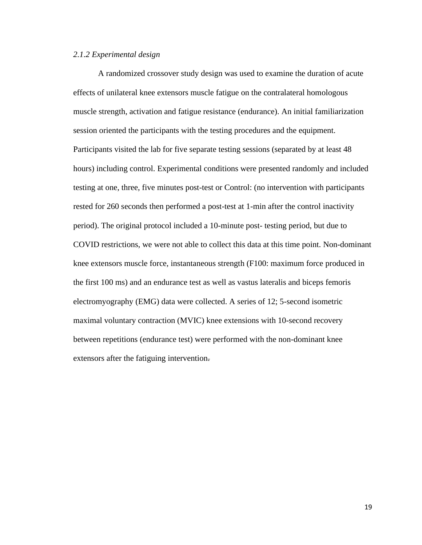## *2.1.2 Experimental design*

A randomized crossover study design was used to examine the duration of acute effects of unilateral knee extensors muscle fatigue on the contralateral homologous muscle strength, activation and fatigue resistance (endurance). An initial familiarization session oriented the participants with the testing procedures and the equipment. Participants visited the lab for five separate testing sessions (separated by at least 48 hours) including control. Experimental conditions were presented randomly and included testing at one, three, five minutes post-test or Control: (no intervention with participants rested for 260 seconds then performed a post-test at 1-min after the control inactivity period). The original protocol included a 10-minute post- testing period, but due to COVID restrictions, we were not able to collect this data at this time point. Non-dominant knee extensors muscle force, instantaneous strength (F100: maximum force produced in the first 100 ms) and an endurance test as well as vastus lateralis and biceps femoris electromyography (EMG) data were collected. A series of 12; 5-second isometric maximal voluntary contraction (MVIC) knee extensions with 10-second recovery between repetitions (endurance test) were performed with the non-dominant knee extensors after the fatiguing intervention.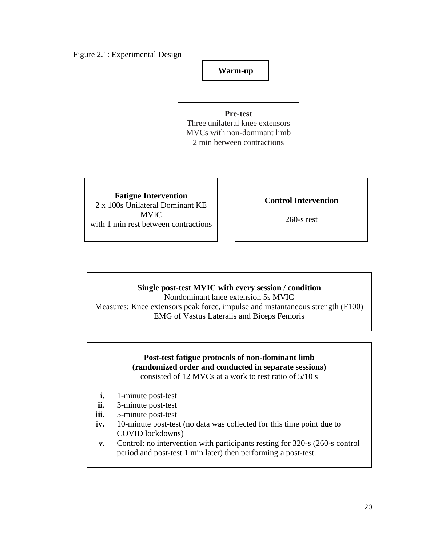Figure 2.1: Experimental Design

**Warm-up**

**Pre-test** Three unilateral knee extensors MVCs with non-dominant limb 2 min between contractions

**Fatigue Intervention** 2 x 100s Unilateral Dominant KE MVIC with 1 min rest between contractions

**Control Intervention**

260-s rest

# **Single post-test MVIC with every session / condition**

Nondominant knee extension 5s MVIC Measures: Knee extensors peak force, impulse and instantaneous strength (F100) EMG of Vastus Lateralis and Biceps Femoris

# **Post-test fatigue protocols of non-dominant limb (randomized order and conducted in separate sessions)**

consisted of 12 MVCs at a work to rest ratio of 5/10 s

- **i.** 1-minute post-test
- **ii.** 3-minute post-test
- **iii.** 5-minute post-test
- **iv.** 10-minute post-test (no data was collected for this time point due to COVID lockdowns)
- **v.** Control: no intervention with participants resting for 320-s (260-s control period and post-test 1 min later) then performing a post-test.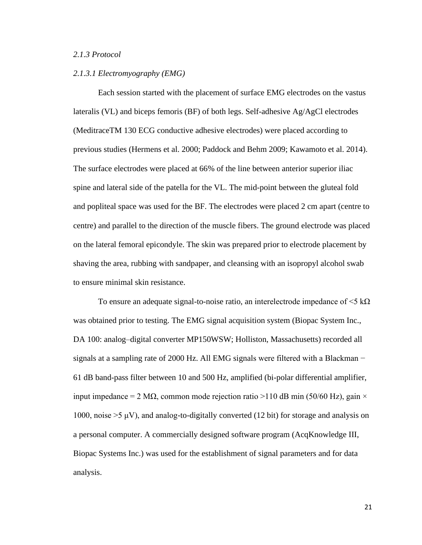### *2.1.3 Protocol*

## *2.1.3.1 Electromyography (EMG)*

Each session started with the placement of surface EMG electrodes on the vastus lateralis (VL) and biceps femoris (BF) of both legs. Self-adhesive Ag/AgCl electrodes (MeditraceTM 130 ECG conductive adhesive electrodes) were placed according to previous studies (Hermens et al. 2000; Paddock and Behm 2009; Kawamoto et al. 2014). The surface electrodes were placed at 66% of the line between anterior superior iliac spine and lateral side of the patella for the VL. The mid-point between the gluteal fold and popliteal space was used for the BF. The electrodes were placed 2 cm apart (centre to centre) and parallel to the direction of the muscle fibers. The ground electrode was placed on the lateral femoral epicondyle. The skin was prepared prior to electrode placement by shaving the area, rubbing with sandpaper, and cleansing with an isopropyl alcohol swab to ensure minimal skin resistance.

To ensure an adequate signal-to-noise ratio, an interelectrode impedance of  $\leq 5$  k $\Omega$ was obtained prior to testing. The EMG signal acquisition system (Biopac System Inc., DA 100: analog–digital converter MP150WSW; Holliston, Massachusetts) recorded all signals at a sampling rate of 2000 Hz. All EMG signals were filtered with a Blackman − 61 dB band-pass filter between 10 and 500 Hz, amplified (bi-polar differential amplifier, input impedance = 2 MΩ, common mode rejection ratio > 110 dB min (50/60 Hz), gain  $\times$ 1000, noise  $>5 \mu V$ ), and analog-to-digitally converted (12 bit) for storage and analysis on a personal computer. A commercially designed software program (AcqKnowledge III, Biopac Systems Inc.) was used for the establishment of signal parameters and for data analysis.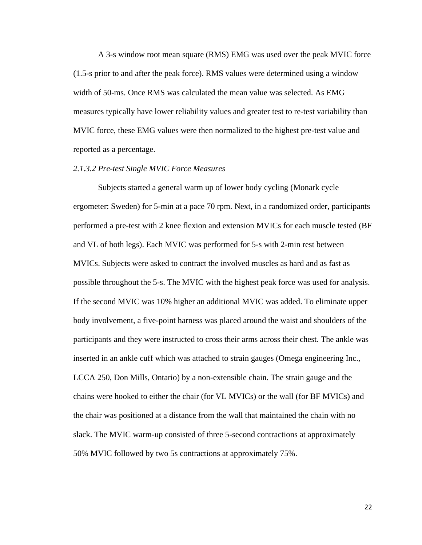A 3-s window root mean square (RMS) EMG was used over the peak MVIC force (1.5-s prior to and after the peak force). RMS values were determined using a window width of 50-ms. Once RMS was calculated the mean value was selected. As EMG measures typically have lower reliability values and greater test to re-test variability than MVIC force, these EMG values were then normalized to the highest pre-test value and reported as a percentage.

#### *2.1.3.2 Pre-test Single MVIC Force Measures*

Subjects started a general warm up of lower body cycling (Monark cycle ergometer: Sweden) for 5-min at a pace 70 rpm. Next, in a randomized order, participants performed a pre-test with 2 knee flexion and extension MVICs for each muscle tested (BF and VL of both legs). Each MVIC was performed for 5-s with 2-min rest between MVICs. Subjects were asked to contract the involved muscles as hard and as fast as possible throughout the 5-s. The MVIC with the highest peak force was used for analysis. If the second MVIC was 10% higher an additional MVIC was added. To eliminate upper body involvement, a five-point harness was placed around the waist and shoulders of the participants and they were instructed to cross their arms across their chest. The ankle was inserted in an ankle cuff which was attached to strain gauges (Omega engineering Inc., LCCA 250, Don Mills, Ontario) by a non-extensible chain. The strain gauge and the chains were hooked to either the chair (for VL MVICs) or the wall (for BF MVICs) and the chair was positioned at a distance from the wall that maintained the chain with no slack. The MVIC warm-up consisted of three 5-second contractions at approximately 50% MVIC followed by two 5s contractions at approximately 75%.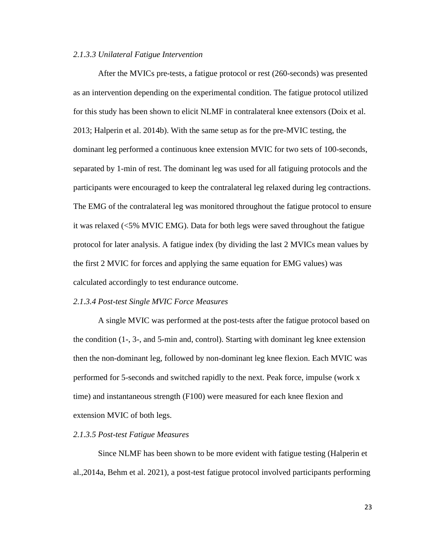#### *2.1.3.3 Unilateral Fatigue Intervention*

After the MVICs pre-tests, a fatigue protocol or rest (260-seconds) was presented as an intervention depending on the experimental condition. The fatigue protocol utilized for this study has been shown to elicit NLMF in contralateral knee extensors (Doix et al. 2013; Halperin et al. 2014b). With the same setup as for the pre-MVIC testing, the dominant leg performed a continuous knee extension MVIC for two sets of 100-seconds, separated by 1-min of rest. The dominant leg was used for all fatiguing protocols and the participants were encouraged to keep the contralateral leg relaxed during leg contractions. The EMG of the contralateral leg was monitored throughout the fatigue protocol to ensure it was relaxed (<5% MVIC EMG). Data for both legs were saved throughout the fatigue protocol for later analysis. A fatigue index (by dividing the last 2 MVICs mean values by the first 2 MVIC for forces and applying the same equation for EMG values) was calculated accordingly to test endurance outcome.

#### *2.1.3.4 Post-test Single MVIC Force Measures*

A single MVIC was performed at the post-tests after the fatigue protocol based on the condition (1-, 3-, and 5-min and, control). Starting with dominant leg knee extension then the non-dominant leg, followed by non-dominant leg knee flexion. Each MVIC was performed for 5-seconds and switched rapidly to the next. Peak force, impulse (work x time) and instantaneous strength (F100) were measured for each knee flexion and extension MVIC of both legs.

#### *2.1.3.5 Post-test Fatigue Measures*

Since NLMF has been shown to be more evident with fatigue testing (Halperin et al.,2014a, Behm et al. 2021), a post-test fatigue protocol involved participants performing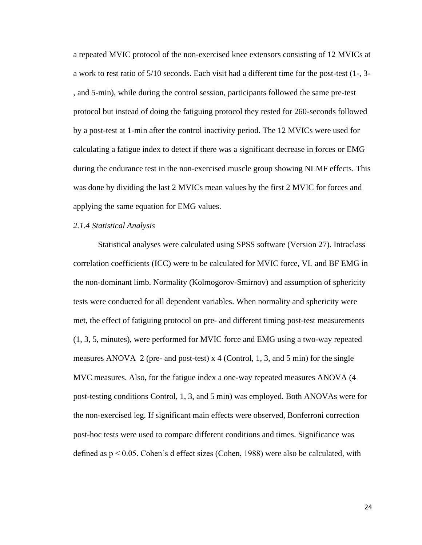a repeated MVIC protocol of the non-exercised knee extensors consisting of 12 MVICs at a work to rest ratio of 5/10 seconds. Each visit had a different time for the post-test (1-, 3- , and 5-min), while during the control session, participants followed the same pre-test protocol but instead of doing the fatiguing protocol they rested for 260-seconds followed by a post-test at 1-min after the control inactivity period. The 12 MVICs were used for calculating a fatigue index to detect if there was a significant decrease in forces or EMG during the endurance test in the non-exercised muscle group showing NLMF effects. This was done by dividing the last 2 MVICs mean values by the first 2 MVIC for forces and applying the same equation for EMG values.

#### *2.1.4 Statistical Analysis*

Statistical analyses were calculated using SPSS software (Version 27). Intraclass correlation coefficients (ICC) were to be calculated for MVIC force, VL and BF EMG in the non-dominant limb. Normality (Kolmogorov-Smirnov) and assumption of sphericity tests were conducted for all dependent variables. When normality and sphericity were met, the effect of fatiguing protocol on pre- and different timing post-test measurements (1, 3, 5, minutes), were performed for MVIC force and EMG using a two-way repeated measures ANOVA 2 (pre- and post-test) x 4 (Control, 1, 3, and 5 min) for the single MVC measures. Also, for the fatigue index a one-way repeated measures ANOVA (4 post-testing conditions Control, 1, 3, and 5 min) was employed. Both ANOVAs were for the non-exercised leg. If significant main effects were observed, Bonferroni correction post-hoc tests were used to compare different conditions and times. Significance was defined as p < 0.05. Cohen's d effect sizes (Cohen, 1988) were also be calculated, with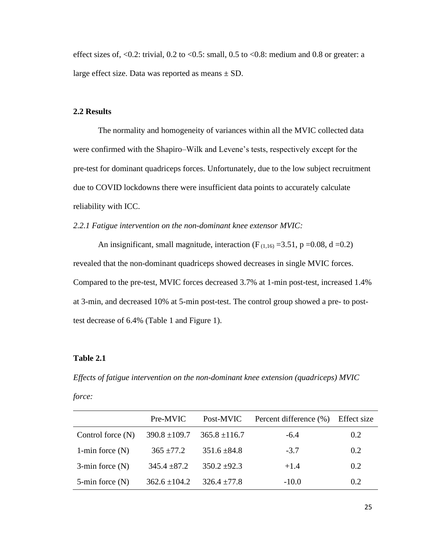effect sizes of,  $\langle 0.2$ : trivial, 0.2 to  $\langle 0.5$ : small, 0.5 to  $\langle 0.8$ : medium and 0.8 or greater: a large effect size. Data was reported as means  $\pm$  SD.

## **2.2 Results**

The normality and homogeneity of variances within all the MVIC collected data were confirmed with the Shapiro–Wilk and Levene's tests, respectively except for the pre-test for dominant quadriceps forces. Unfortunately, due to the low subject recruitment due to COVID lockdowns there were insufficient data points to accurately calculate reliability with ICC.

*2.2.1 Fatigue intervention on the non-dominant knee extensor MVIC:* 

An insignificant, small magnitude, interaction ( $F_{(1,16)} = 3.51$ ,  $p = 0.08$ , d = 0.2) revealed that the non-dominant quadriceps showed decreases in single MVIC forces. Compared to the pre-test, MVIC forces decreased 3.7% at 1-min post-test, increased 1.4% at 3-min, and decreased 10% at 5-min post-test. The control group showed a pre- to posttest decrease of 6.4% (Table 1 and Figure 1).

#### **Table 2.1**

*Effects of fatigue intervention on the non-dominant knee extension (quadriceps) MVIC*

*force:* 

|                      | Pre-MVIC          | Post-MVIC         | Percent difference (%) | Effect size |
|----------------------|-------------------|-------------------|------------------------|-------------|
| Control force $(N)$  | $390.8 \pm 109.7$ | $365.8 \pm 116.7$ | $-6.4$                 | 0.2         |
| 1-min force $(N)$    | $365 \pm 77.2$    | $351.6 \pm 84.8$  | $-3.7$                 | 0.2         |
| $3$ -min force $(N)$ | $345.4 \pm 87.2$  | $350.2 \pm 92.3$  | $+1.4$                 | 0.2         |
| $5$ -min force $(N)$ | $362.6 \pm 104.2$ | $326.4 \pm 77.8$  | $-10.0$                | 0.2         |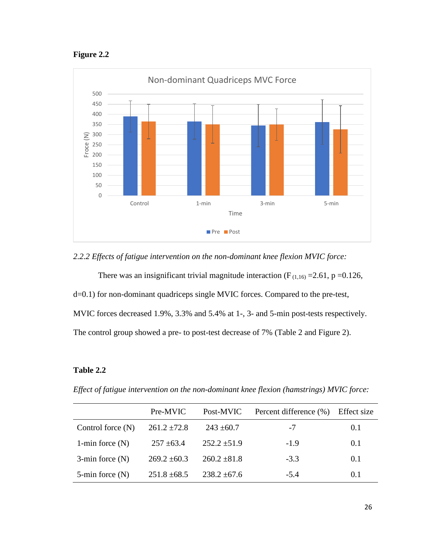**Figure 2.2**



*2.2.2 Effects of fatigue intervention on the non-dominant knee flexion MVIC force:* 

There was an insignificant trivial magnitude interaction ( $F_{(1,16)} = 2.61$ , p = 0.126, d=0.1) for non-dominant quadriceps single MVIC forces. Compared to the pre-test, MVIC forces decreased 1.9%, 3.3% and 5.4% at 1-, 3- and 5-min post-tests respectively. The control group showed a pre- to post-test decrease of 7% (Table 2 and Figure 2).

# **Table 2.2**

*Effect of fatigue intervention on the non-dominant knee flexion (hamstrings) MVIC force:* 

|                      | Pre-MVIC         | Post-MVIC        | Percent difference (%) | Effect size |
|----------------------|------------------|------------------|------------------------|-------------|
| Control force $(N)$  | $261.2 \pm 72.8$ | $243 \pm 60.7$   | -7                     | 0.1         |
| 1-min force $(N)$    | $257 \pm 63.4$   | $252.2 \pm 51.9$ | $-1.9$                 | 0.1         |
| $3$ -min force $(N)$ | $269.2 \pm 60.3$ | $260.2 \pm 81.8$ | $-3.3$                 | 0.1         |
| $5$ -min force $(N)$ | $251.8 \pm 68.5$ | $238.2 \pm 67.6$ | $-5.4$                 | 0.1         |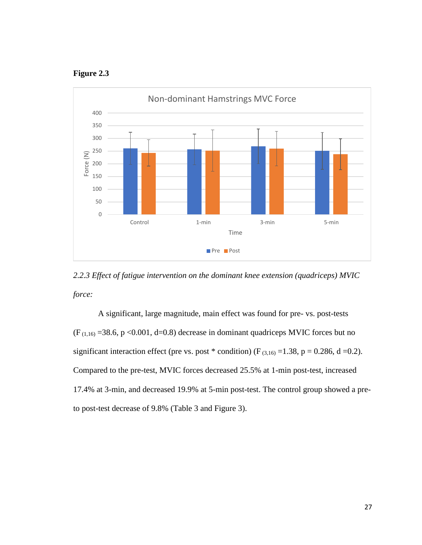



*2.2.3 Effect of fatigue intervention on the dominant knee extension (quadriceps) MVIC force:* 

A significant, large magnitude, main effect was found for pre- vs. post-tests  $(F_{(1,16)} = 38.6, p < 0.001, d = 0.8)$  decrease in dominant quadriceps MVIC forces but no significant interaction effect (pre vs. post \* condition) ( $F_{(3,16)} = 1.38$ , p = 0.286, d = 0.2). Compared to the pre-test, MVIC forces decreased 25.5% at 1-min post-test, increased 17.4% at 3-min, and decreased 19.9% at 5-min post-test. The control group showed a preto post-test decrease of 9.8% (Table 3 and Figure 3).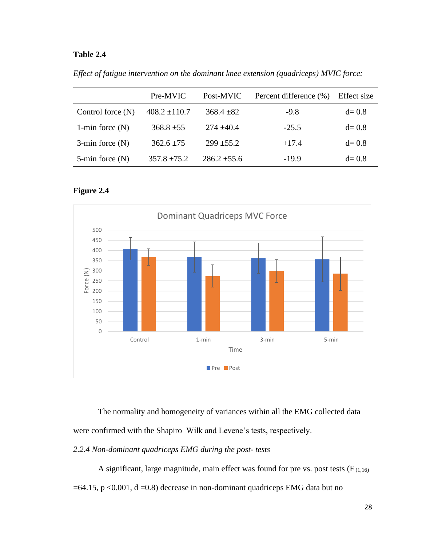# **Table 2.4**

*Effect of fatigue intervention on the dominant knee extension (quadriceps) MVIC force:* 

|                      | Pre-MVIC          | Post-MVIC        | Percent difference (%) | Effect size |
|----------------------|-------------------|------------------|------------------------|-------------|
| Control force $(N)$  | $408.2 \pm 110.7$ | $368.4 \pm 82$   | $-9.8$                 | $d=0.8$     |
| 1-min force $(N)$    | $368.8 \pm 55$    | $274 + 40.4$     | $-25.5$                | $d=0.8$     |
| $3$ -min force $(N)$ | $362.6 \pm 75$    | $299 \pm 55.2$   | $+17.4$                | $d=0.8$     |
| $5$ -min force $(N)$ | $357.8 \pm 75.2$  | $286.2 \pm 55.6$ | $-19.9$                | $d=0.8$     |





The normality and homogeneity of variances within all the EMG collected data were confirmed with the Shapiro–Wilk and Levene's tests, respectively.

*2.2.4 Non-dominant quadriceps EMG during the post- tests*

A significant, large magnitude, main effect was found for pre vs. post tests ( $F_{(1,16)}$ )  $=64.15$ , p <0.001, d =0.8) decrease in non-dominant quadriceps EMG data but no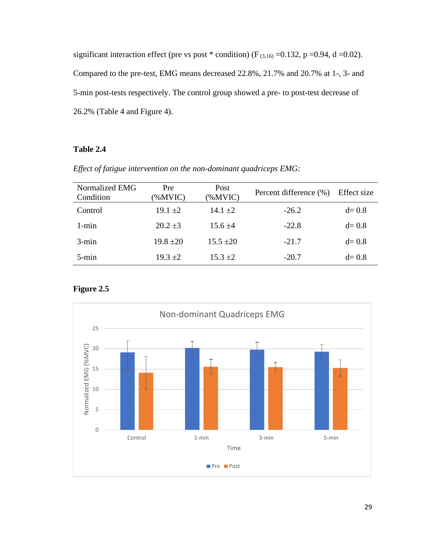significant interaction effect (pre vs post \* condition) ( $F_{(3,16)} = 0.132$ , p =0.94, d =0.02). Compared to the pre-test, EMG means decreased 22.8%, 21.7% and 20.7% at 1-, 3- and 5-min post-tests respectively. The control group showed a pre- to post-test decrease of 26.2% (Table 4 and Figure 4).

# **Table 2.4**

| Normalized EMG<br>Condition | Pre<br>(%MVIC) | Post<br>$(\%MVIC)$ | Percent difference (%) | Effect size |
|-----------------------------|----------------|--------------------|------------------------|-------------|
| Control                     | $19.1 \pm 2$   | 14.1 $\pm 2$       | $-26.2$                | $d=0.8$     |
| $1 - min$                   | $20.2 \pm 3$   | $15.6 \pm 4$       | $-22.8$                | $d=0.8$     |
| $3 - min$                   | $19.8 \pm 20$  | $15.5 \pm 20$      | $-21.7$                | $d=0.8$     |
| $5 - min$                   | $19.3 \pm 2$   | $15.3 \pm 2$       | $-20.7$                | $d=0.8$     |



# **Figure 2.5**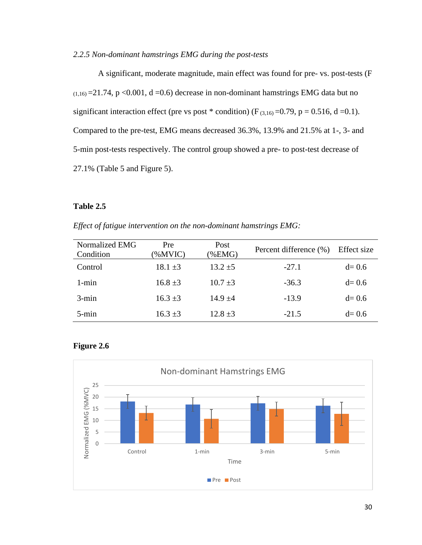## *2.2.5 Non-dominant hamstrings EMG during the post-tests*

A significant, moderate magnitude, main effect was found for pre- vs. post-tests (F  $(1,16)$  = 21.74, p < 0.001, d = 0.6) decrease in non-dominant hamstrings EMG data but no significant interaction effect (pre vs post \* condition) ( $F_{(3,16)} = 0.79$ , p = 0.516, d = 0.1). Compared to the pre-test, EMG means decreased 36.3%, 13.9% and 21.5% at 1-, 3- and 5-min post-tests respectively. The control group showed a pre- to post-test decrease of 27.1% (Table 5 and Figure 5).

## **Table 2.5**

*Effect of fatigue intervention on the non-dominant hamstrings EMG:* 

| Normalized EMG<br>Condition | Pre<br>(%MVIC) | Post<br>(%EMG) | Percent difference (%) | Effect size |
|-----------------------------|----------------|----------------|------------------------|-------------|
| Control                     | $18.1 \pm 3$   | $13.2 \pm 5$   | $-27.1$                | $d=0.6$     |
| $1 - min$                   | $16.8 \pm 3$   | $10.7 \pm 3$   | $-36.3$                | $d=0.6$     |
| $3 - min$                   | $16.3 \pm 3$   | $14.9 + 4$     | $-13.9$                | $d=0.6$     |
| $5 - min$                   | $16.3 \pm 3$   | $12.8 \pm 3$   | $-21.5$                | $d=0.6$     |



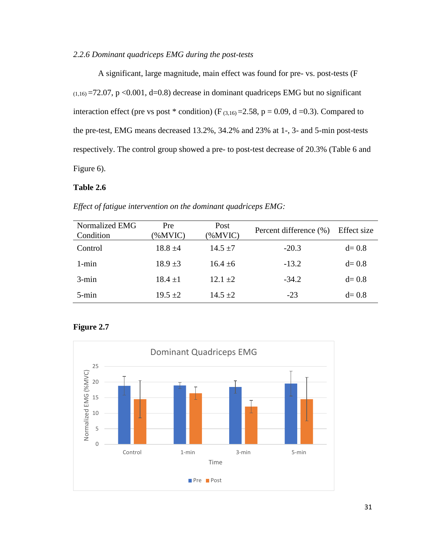## *2.2.6 Dominant quadriceps EMG during the post-tests*

A significant, large magnitude, main effect was found for pre- vs. post-tests (F  $(1,16) = 72.07$ , p <0.001, d=0.8) decrease in dominant quadriceps EMG but no significant interaction effect (pre vs post  $*$  condition) (F<sub>(3,16)</sub> = 2.58, p = 0.09, d = 0.3). Compared to the pre-test, EMG means decreased 13.2%, 34.2% and 23% at 1-, 3- and 5-min post-tests respectively. The control group showed a pre- to post-test decrease of 20.3% (Table 6 and Figure 6).

## **Table 2.6**

| Normalized EMG<br>Condition | Pre<br>(%MVIC) | Post<br>(%MVIC) | Percent difference (%) | Effect size |
|-----------------------------|----------------|-----------------|------------------------|-------------|
| Control                     | $18.8 \pm 4$   | $14.5 \pm 7$    | $-20.3$                | $d=0.8$     |
| $1 - min$                   | $18.9 \pm 3$   | $16.4 \pm 6$    | $-13.2$                | $d=0.8$     |
| $3 - min$                   | $18.4 + 1$     | $12.1 + 2$      | $-34.2$                | $d=0.8$     |
| $5 - min$                   | $19.5 \pm 2$   | $14.5 \pm 2$    | $-23$                  | $d=0.8$     |

*Effect of fatigue intervention on the dominant quadriceps EMG:* 

# **Figure 2.7**

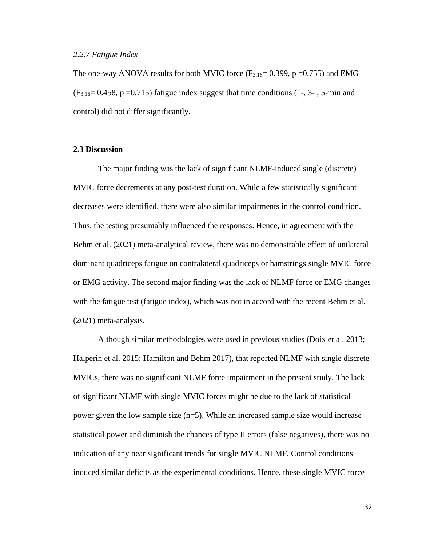#### *2.2.7 Fatigue Index*

The one-way ANOVA results for both MVIC force  $(F_{3,16}=0.399, p=0.755)$  and EMG  $(F_{3,16}=0.458, p=0.715)$  fatigue index suggest that time conditions (1-, 3-, 5-min and control) did not differ significantly.

## **2.3 Discussion**

The major finding was the lack of significant NLMF-induced single (discrete) MVIC force decrements at any post-test duration. While a few statistically significant decreases were identified, there were also similar impairments in the control condition. Thus, the testing presumably influenced the responses. Hence, in agreement with the Behm et al. (2021) meta-analytical review, there was no demonstrable effect of unilateral dominant quadriceps fatigue on contralateral quadriceps or hamstrings single MVIC force or EMG activity. The second major finding was the lack of NLMF force or EMG changes with the fatigue test (fatigue index), which was not in accord with the recent Behm et al. (2021) meta-analysis.

Although similar methodologies were used in previous studies (Doix et al. 2013; Halperin et al. 2015; Hamilton and Behm 2017), that reported NLMF with single discrete MVICs, there was no significant NLMF force impairment in the present study. The lack of significant NLMF with single MVIC forces might be due to the lack of statistical power given the low sample size (n=5). While an increased sample size would increase statistical power and diminish the chances of type II errors (false negatives), there was no indication of any near significant trends for single MVIC NLMF. Control conditions induced similar deficits as the experimental conditions. Hence, these single MVIC force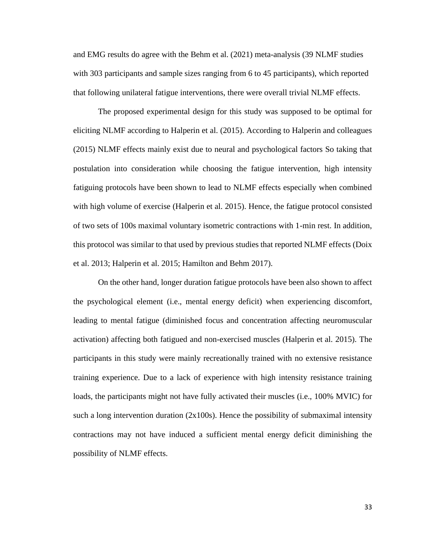and EMG results do agree with the Behm et al. (2021) meta-analysis (39 NLMF studies with 303 participants and sample sizes ranging from 6 to 45 participants), which reported that following unilateral fatigue interventions, there were overall trivial NLMF effects.

The proposed experimental design for this study was supposed to be optimal for eliciting NLMF according to Halperin et al. (2015). According to Halperin and colleagues (2015) NLMF effects mainly exist due to neural and psychological factors So taking that postulation into consideration while choosing the fatigue intervention, high intensity fatiguing protocols have been shown to lead to NLMF effects especially when combined with high volume of exercise (Halperin et al. 2015). Hence, the fatigue protocol consisted of two sets of 100s maximal voluntary isometric contractions with 1-min rest. In addition, this protocol was similar to that used by previous studies that reported NLMF effects (Doix et al. 2013; Halperin et al. 2015; Hamilton and Behm 2017).

On the other hand, longer duration fatigue protocols have been also shown to affect the psychological element (i.e., mental energy deficit) when experiencing discomfort, leading to mental fatigue (diminished focus and concentration affecting neuromuscular activation) affecting both fatigued and non-exercised muscles (Halperin et al. 2015). The participants in this study were mainly recreationally trained with no extensive resistance training experience. Due to a lack of experience with high intensity resistance training loads, the participants might not have fully activated their muscles (i.e., 100% MVIC) for such a long intervention duration  $(2x100s)$ . Hence the possibility of submaximal intensity contractions may not have induced a sufficient mental energy deficit diminishing the possibility of NLMF effects.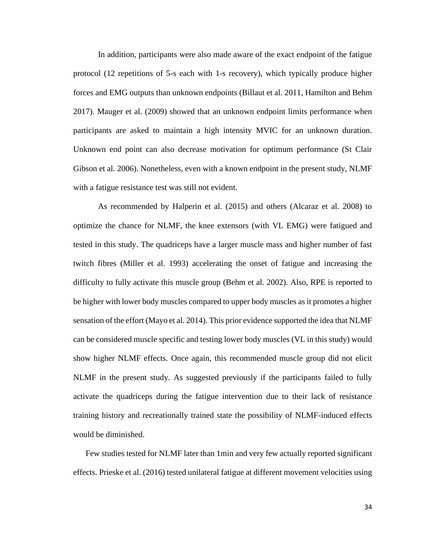In addition, participants were also made aware of the exact endpoint of the fatigue protocol (12 repetitions of 5-s each with 1-s recovery), which typically produce higher forces and EMG outputs than unknown endpoints (Billaut et al. 2011, Hamilton and Behm 2017). Mauger et al. (2009) showed that an unknown endpoint limits performance when participants are asked to maintain a high intensity MVIC for an unknown duration. Unknown end point can also decrease motivation for optimum performance (St Clair Gibson et al. 2006). Nonetheless, even with a known endpoint in the present study, NLMF with a fatigue resistance test was still not evident.

As recommended by Halperin et al. (2015) and others (Alcaraz et al. 2008) to optimize the chance for NLMF, the knee extensors (with VL EMG) were fatigued and tested in this study. The quadriceps have a larger muscle mass and higher number of fast twitch fibres (Miller et al. 1993) accelerating the onset of fatigue and increasing the difficulty to fully activate this muscle group (Behm et al. 2002). Also, RPE is reported to be higher with lower body muscles compared to upper body muscles as it promotes a higher sensation of the effort (Mayo et al. 2014). This prior evidence supported the idea that NLMF can be considered muscle specific and testing lower body muscles (VL in this study) would show higher NLMF effects. Once again, this recommended muscle group did not elicit NLMF in the present study. As suggested previously if the participants failed to fully activate the quadriceps during the fatigue intervention due to their lack of resistance training history and recreationally trained state the possibility of NLMF-induced effects would be diminished.

Few studies tested for NLMF later than 1min and very few actually reported significant effects. Prieske et al. (2016) tested unilateral fatigue at different movement velocities using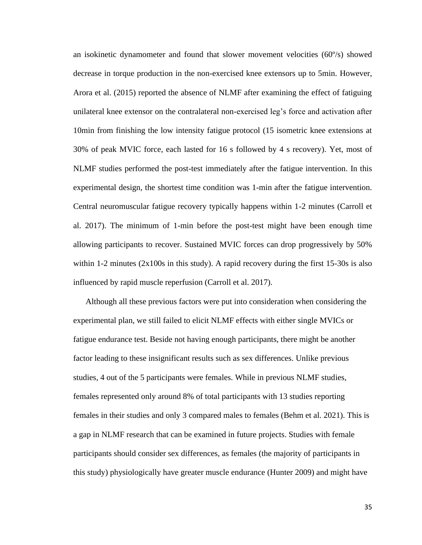an isokinetic dynamometer and found that slower movement velocities (60º/s) showed decrease in torque production in the non-exercised knee extensors up to 5min. However, Arora et al. (2015) reported the absence of NLMF after examining the effect of fatiguing unilateral knee extensor on the contralateral non-exercised leg's force and activation after 10min from finishing the low intensity fatigue protocol (15 isometric knee extensions at 30% of peak MVIC force, each lasted for 16 s followed by 4 s recovery). Yet, most of NLMF studies performed the post-test immediately after the fatigue intervention. In this experimental design, the shortest time condition was 1-min after the fatigue intervention. Central neuromuscular fatigue recovery typically happens within 1-2 minutes (Carroll et al. 2017). The minimum of 1-min before the post-test might have been enough time allowing participants to recover. Sustained MVIC forces can drop progressively by 50% within 1-2 minutes  $(2x100s)$  in this study). A rapid recovery during the first 15-30s is also influenced by rapid muscle reperfusion (Carroll et al. 2017).

Although all these previous factors were put into consideration when considering the experimental plan, we still failed to elicit NLMF effects with either single MVICs or fatigue endurance test. Beside not having enough participants, there might be another factor leading to these insignificant results such as sex differences. Unlike previous studies, 4 out of the 5 participants were females. While in previous NLMF studies, females represented only around 8% of total participants with 13 studies reporting females in their studies and only 3 compared males to females (Behm et al. 2021). This is a gap in NLMF research that can be examined in future projects. Studies with female participants should consider sex differences, as females (the majority of participants in this study) physiologically have greater muscle endurance (Hunter 2009) and might have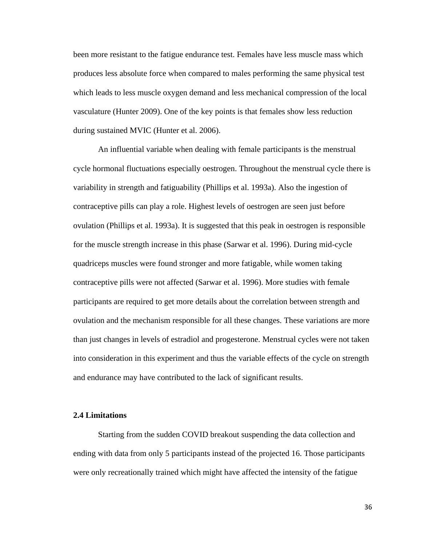been more resistant to the fatigue endurance test. Females have less muscle mass which produces less absolute force when compared to males performing the same physical test which leads to less muscle oxygen demand and less mechanical compression of the local vasculature (Hunter 2009). One of the key points is that females show less reduction during sustained MVIC (Hunter et al. 2006).

An influential variable when dealing with female participants is the menstrual cycle hormonal fluctuations especially oestrogen. Throughout the menstrual cycle there is variability in strength and fatiguability (Phillips et al. 1993a). Also the ingestion of contraceptive pills can play a role. Highest levels of oestrogen are seen just before ovulation (Phillips et al. 1993a). It is suggested that this peak in oestrogen is responsible for the muscle strength increase in this phase (Sarwar et al. 1996). During mid-cycle quadriceps muscles were found stronger and more fatigable, while women taking contraceptive pills were not affected (Sarwar et al. 1996). More studies with female participants are required to get more details about the correlation between strength and ovulation and the mechanism responsible for all these changes. These variations are more than just changes in levels of estradiol and progesterone. Menstrual cycles were not taken into consideration in this experiment and thus the variable effects of the cycle on strength and endurance may have contributed to the lack of significant results.

## **2.4 Limitations**

Starting from the sudden COVID breakout suspending the data collection and ending with data from only 5 participants instead of the projected 16. Those participants were only recreationally trained which might have affected the intensity of the fatigue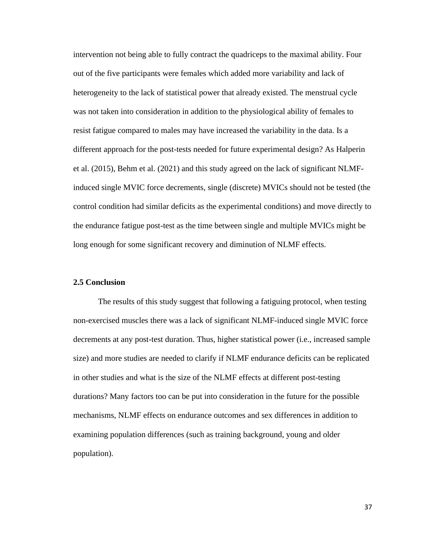intervention not being able to fully contract the quadriceps to the maximal ability. Four out of the five participants were females which added more variability and lack of heterogeneity to the lack of statistical power that already existed. The menstrual cycle was not taken into consideration in addition to the physiological ability of females to resist fatigue compared to males may have increased the variability in the data. Is a different approach for the post-tests needed for future experimental design? As Halperin et al. (2015), Behm et al. (2021) and this study agreed on the lack of significant NLMFinduced single MVIC force decrements, single (discrete) MVICs should not be tested (the control condition had similar deficits as the experimental conditions) and move directly to the endurance fatigue post-test as the time between single and multiple MVICs might be long enough for some significant recovery and diminution of NLMF effects.

## **2.5 Conclusion**

The results of this study suggest that following a fatiguing protocol, when testing non-exercised muscles there was a lack of significant NLMF-induced single MVIC force decrements at any post-test duration. Thus, higher statistical power (i.e., increased sample size) and more studies are needed to clarify if NLMF endurance deficits can be replicated in other studies and what is the size of the NLMF effects at different post-testing durations? Many factors too can be put into consideration in the future for the possible mechanisms, NLMF effects on endurance outcomes and sex differences in addition to examining population differences (such as training background, young and older population).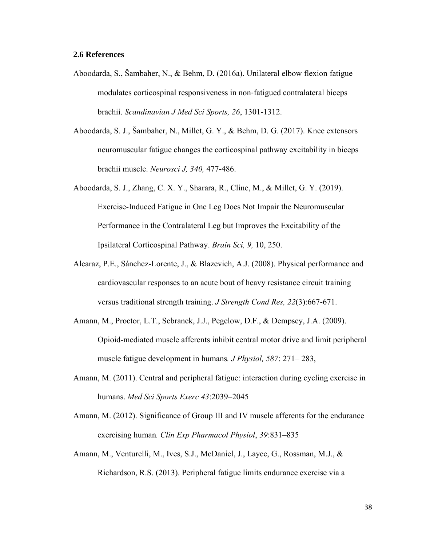## **2.6 References**

- Aboodarda, S., Šambaher, N., & Behm, D. (2016a). Unilateral elbow flexion fatigue modulates corticospinal responsiveness in non‐fatigued contralateral biceps brachii. *Scandinavian J Med Sci Sports, 26*, 1301-1312.
- Aboodarda, S. J., Šambaher, N., Millet, G. Y., & Behm, D. G. (2017). Knee extensors neuromuscular fatigue changes the corticospinal pathway excitability in biceps brachii muscle. *Neurosci J, 340,* 477-486.
- Aboodarda, S. J., Zhang, C. X. Y., Sharara, R., Cline, M., & Millet, G. Y. (2019). Exercise-Induced Fatigue in One Leg Does Not Impair the Neuromuscular Performance in the Contralateral Leg but Improves the Excitability of the Ipsilateral Corticospinal Pathway. *Brain Sci, 9,* 10, 250.
- Alcaraz, P.E., Sánchez-Lorente, J., & Blazevich, A.J. (2008). Physical performance and cardiovascular responses to an acute bout of heavy resistance circuit training versus traditional strength training. *J Strength Cond Res, 22*(3):667-671.
- Amann, M., Proctor, L.T., Sebranek, J.J., Pegelow, D.F., & Dempsey, J.A. (2009). Opioid-mediated muscle afferents inhibit central motor drive and limit peripheral muscle fatigue development in humans*. J Physiol, 587*: 271– 283,
- Amann, M. (2011). Central and peripheral fatigue: interaction during cycling exercise in humans. *Med Sci Sports Exerc 43*:2039–2045
- Amann, M. (2012). Significance of Group III and IV muscle afferents for the endurance exercising human*. Clin Exp Pharmacol Physiol*, *39*:831–835
- Amann, M., Venturelli, M., Ives, S.J., McDaniel, J., Layec, G., Rossman, M.J., & Richardson, R.S. (2013). Peripheral fatigue limits endurance exercise via a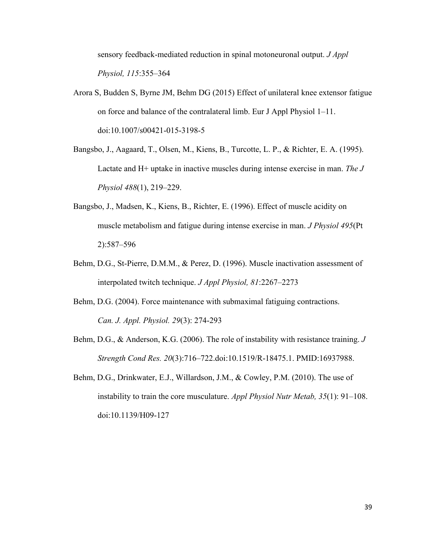sensory feedback-mediated reduction in spinal motoneuronal output. *J Appl Physiol, 115*:355–364

- Arora S, Budden S, Byrne JM, Behm DG (2015) Effect of unilateral knee extensor fatigue on force and balance of the contralateral limb. Eur J Appl Physiol 1–11. doi:10.1007/s00421-015-3198-5
- Bangsbo, J., Aagaard, T., Olsen, M., Kiens, B., Turcotte, L. P., & Richter, E. A. (1995). Lactate and H+ uptake in inactive muscles during intense exercise in man. *The J Physiol 488*(1), 219–229.
- Bangsbo, J., Madsen, K., Kiens, B., Richter, E. (1996). Effect of muscle acidity on muscle metabolism and fatigue during intense exercise in man. *J Physiol 495*(Pt 2):587–596
- Behm, D.G., St-Pierre, D.M.M., & Perez, D. (1996). Muscle inactivation assessment of interpolated twitch technique. *J Appl Physiol, 81*:2267–2273
- Behm, D.G. (2004). Force maintenance with submaximal fatiguing contractions. *Can. J. Appl. Physiol. 29*(3): 274-293
- Behm, D.G., & Anderson, K.G. (2006). The role of instability with resistance training. *J Strength Cond Res. 20*(3):716–722.doi:10.1519/R-18475.1. PMID:16937988.
- Behm, D.G., Drinkwater, E.J., Willardson, J.M., & Cowley, P.M. (2010). The use of instability to train the core musculature. *Appl Physiol Nutr Metab, 35*(1): 91–108. doi:10.1139/H09-127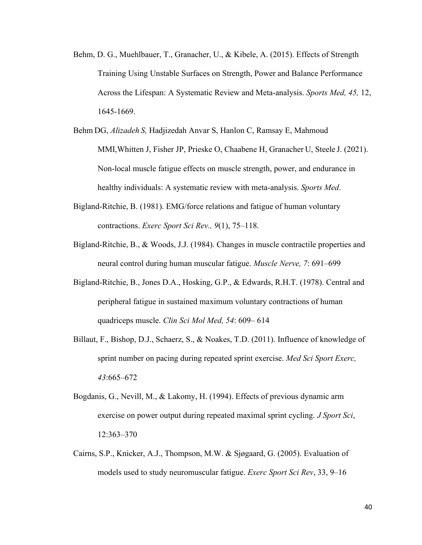- Behm, D. G., Muehlbauer, T., Granacher, U., & Kibele, A. (2015). Effects of Strength Training Using Unstable Surfaces on Strength, Power and Balance Performance Across the Lifespan: A Systematic Review and Meta-analysis. *Sports Med, 45,* 12, 1645-1669.
- Behm DG, *Alizadeh S,* Hadjizedah Anvar S, Hanlon C, Ramsay E, Mahmoud MMI,Whitten J, Fisher JP, Prieske O, Chaabene H, Granacher U, Steele J. (2021). Non-local muscle fatigue effects on muscle strength, power, and endurance in healthy individuals: A systematic review with meta-analysis. *Sports Med*.
- Bigland-Ritchie, B. (1981). EMG/force relations and fatigue of human voluntary contractions. *Exerc Sport Sci Rev., 9*(1), 75–118.
- Bigland-Ritchie, B., & Woods, J.J. (1984). Changes in muscle contractile properties and neural control during human muscular fatigue. *Muscle Nerve, 7*: 691–699
- Bigland-Ritchie, B., Jones D.A., Hosking, G.P., & Edwards, R.H.T. (1978). Central and peripheral fatigue in sustained maximum voluntary contractions of human quadriceps muscle. *Clin Sci Mol Med, 54*: 609– 614
- Billaut, F., Bishop, D.J., Schaerz, S., & Noakes, T.D. (2011). Influence of knowledge of sprint number on pacing during repeated sprint exercise. *Med Sci Sport Exerc, 43*:665–672
- Bogdanis, G., Nevill, M., & Lakomy, H. (1994). Effects of previous dynamic arm exercise on power output during repeated maximal sprint cycling. *J Sport Sci*, 12:363–370
- Cairns, S.P., Knicker, A.J., Thompson, M.W. & Sjøgaard, G. (2005). Evaluation of models used to study neuromuscular fatigue. *Exerc Sport Sci Rev*, 33, 9–16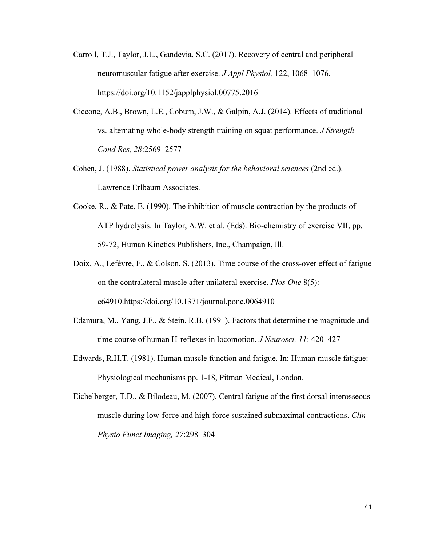- Carroll, T.J., Taylor, J.L., Gandevia, S.C. (2017). Recovery of central and peripheral neuromuscular fatigue after exercise. *J Appl Physiol,* 122, 1068–1076. https://doi.org/10.1152/japplphysiol.00775.2016
- Ciccone, A.B., Brown, L.E., Coburn, J.W., & Galpin, A.J. (2014). Effects of traditional vs. alternating whole-body strength training on squat performance. *J Strength Cond Res, 28*:2569–2577
- Cohen, J. (1988). *Statistical power analysis for the behavioral sciences* (2nd ed.). Lawrence Erlbaum Associates.
- Cooke, R., & Pate, E. (1990). The inhibition of muscle contraction by the products of ATP hydrolysis. In Taylor, A.W. et al. (Eds). Bio-chemistry of exercise VII, pp. 59-72, Human Kinetics Publishers, Inc., Champaign, Ill.
- Doix, A., Lefèvre, F., & Colson, S. (2013). Time course of the cross-over effect of fatigue on the contralateral muscle after unilateral exercise. *Plos One* 8(5): e64910[.https://doi.org/10.1371/journal.pone.0064910](https://doi.org/10.1371/journal.pone.0064910)
- Edamura, M., Yang, J.F., & Stein, R.B. (1991). Factors that determine the magnitude and time course of human H-reflexes in locomotion. *J Neurosci, 11*: 420–427
- Edwards, R.H.T. (1981). Human muscle function and fatigue. In: Human muscle fatigue: Physiological mechanisms pp. 1-18, Pitman Medical, London.
- Eichelberger, T.D., & Bilodeau, M. (2007). Central fatigue of the first dorsal interosseous muscle during low-force and high-force sustained submaximal contractions. *Clin Physio Funct Imaging, 27*:298–304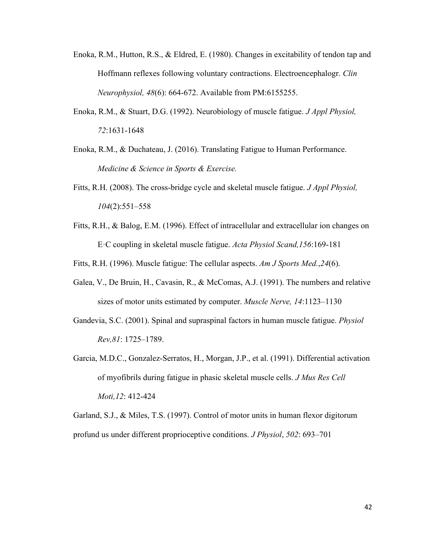- Enoka, R.M., Hutton, R.S., & Eldred, E. (1980). Changes in excitability of tendon tap and Hoffmann reflexes following voluntary contractions. Electroencephalogr. *Clin Neurophysiol, 48*(6): 664-672. Available from PM:6155255.
- Enoka, R.M., & Stuart, D.G. (1992). Neurobiology of muscle fatigue. *J Appl Physiol, 72*:1631-1648
- Enoka, R.M., & Duchateau, J. (2016). Translating Fatigue to Human Performance. *Medicine & Science in Sports & Exercise.*
- Fitts, R.H. (2008). The cross-bridge cycle and skeletal muscle fatigue. *J Appl Physiol, 104*(2):551–558
- Fitts, R.H., & Balog, E.M. (1996). Effect of intracellular and extracellular ion changes on E·C coupling in skeletal muscle fatigue. *Acta Physiol Scand,156*:169-181

Fitts, R.H. (1996). Muscle fatigue: The cellular aspects. *Am J Sports Med.*,*24*(6).

- Galea, V., De Bruin, H., Cavasin, R., & McComas, A.J. (1991). The numbers and relative sizes of motor units estimated by computer. *Muscle Nerve, 14*:1123–1130
- Gandevia, S.C. (2001). Spinal and supraspinal factors in human muscle fatigue. *Physiol Rev,81*: 1725–1789.
- Garcia, M.D.C., Gonzalez-Serratos, H., Morgan, J.P., et al. (1991). Differential activation of myofibrils during fatigue in phasic skeletal muscle cells. *J Mus Res Cell Moti,12*: 412-424

Garland, S.J., & Miles, T.S. (1997). Control of motor units in human flexor digitorum profund us under different proprioceptive conditions. *J Physiol*, *502*: 693–701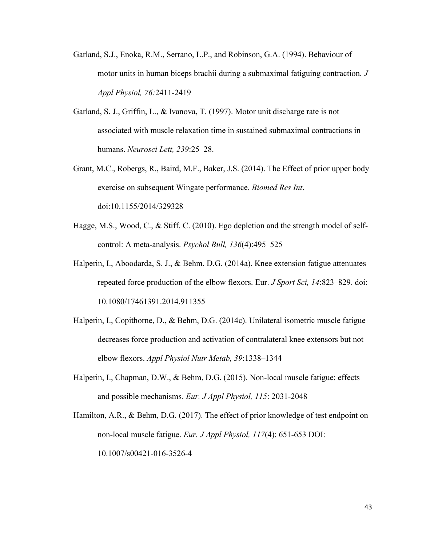- Garland, S.J., Enoka, R.M., Serrano, L.P., and Robinson, G.A. (1994). Behaviour of motor units in human biceps brachii during a submaximal fatiguing contraction*. J Appl Physiol, 76:*2411-2419
- Garland, S. J., Griffin, L., & Ivanova, T. (1997). Motor unit discharge rate is not associated with muscle relaxation time in sustained submaximal contractions in humans. *Neurosci Lett, 239*:25–28.
- Grant, M.C., Robergs, R., Baird, M.F., Baker, J.S. (2014). The Effect of prior upper body exercise on subsequent Wingate performance. *Biomed Res Int*. doi:10.1155/2014/329328
- Hagge, M.S., Wood, C., & Stiff, C. (2010). Ego depletion and the strength model of selfcontrol: A meta-analysis. *Psychol Bull, 136*(4):495–525
- Halperin, I., Aboodarda, S. J., & Behm, D.G. (2014a). Knee extension fatigue attenuates repeated force production of the elbow flexors. Eur. *J Sport Sci, 14*:823–829. doi: 10.1080/17461391.2014.911355
- Halperin, I., Copithorne, D., & Behm, D.G. (2014c). Unilateral isometric muscle fatigue decreases force production and activation of contralateral knee extensors but not elbow flexors. *Appl Physiol Nutr Metab, 39*:1338–1344
- Halperin, I., Chapman, D.W., & Behm, D.G. (2015). Non-local muscle fatigue: effects and possible mechanisms. *Eur. J Appl Physiol, 115*: 2031-2048
- Hamilton, A.R., & Behm, D.G. (2017). The effect of prior knowledge of test endpoint on non-local muscle fatigue. *Eur. J Appl Physiol, 117*(4): 651-653 DOI: 10.1007/s00421-016-3526-4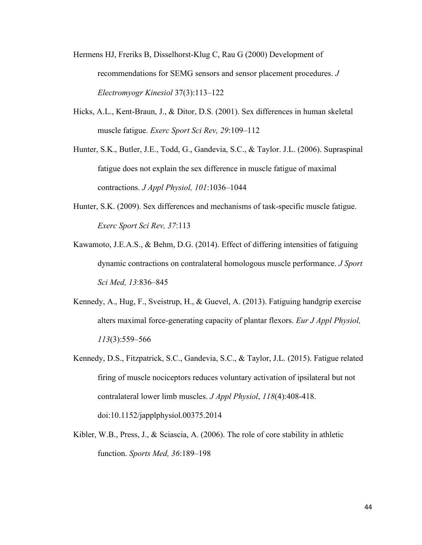- Hermens HJ, Freriks B, Disselhorst-Klug C, Rau G (2000) Development of recommendations for SEMG sensors and sensor placement procedures. *J Electromyogr Kinesiol* 37(3):113–122
- Hicks, A.L., Kent-Braun, J., & Ditor, D.S. (2001). Sex differences in human skeletal muscle fatigue. *Exerc Sport Sci Rev, 29*:109–112
- Hunter, S.K., Butler, J.E., Todd, G., Gandevia, S.C., & Taylor. J.L. (2006). Supraspinal fatigue does not explain the sex difference in muscle fatigue of maximal contractions. *J Appl Physiol, 101*:1036–1044
- Hunter, S.K. (2009). Sex differences and mechanisms of task-specific muscle fatigue. *Exerc Sport Sci Rev, 37*:113
- Kawamoto, J.E.A.S., & Behm, D.G. (2014). Effect of differing intensities of fatiguing dynamic contractions on contralateral homologous muscle performance. *J Sport Sci Med, 13*:836–845
- Kennedy, A., Hug, F., Sveistrup, H., & Guevel, A. (2013). Fatiguing handgrip exercise alters maximal force-generating capacity of plantar flexors. *Eur J Appl Physiol, 113*(3):559–566
- Kennedy, D.S., Fitzpatrick, S.C., Gandevia, S.C., & Taylor, J.L. (2015). Fatigue related firing of muscle nociceptors reduces voluntary activation of ipsilateral but not contralateral lower limb muscles. *J Appl Physiol*, *118*(4):408-418. doi:10.1152/japplphysiol.00375.2014
- Kibler, W.B., Press, J., & Sciascia, A. (2006). The role of core stability in athletic function. *Sports Med, 36*:189–198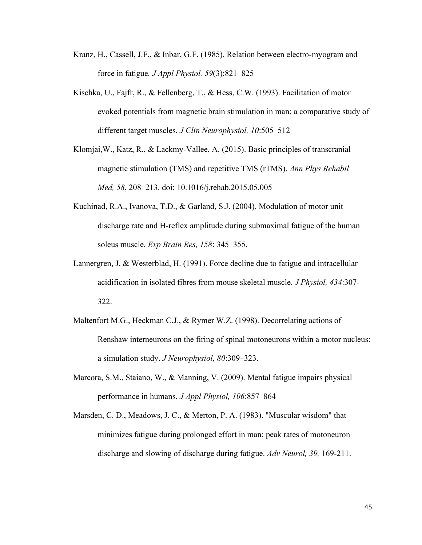- Kranz, H., Cassell, J.F., & Inbar, G.F. (1985). Relation between electro-myogram and force in fatigue*. J Appl Physiol, 59*(3):821–825
- Kischka, U., Fajfr, R., & Fellenberg, T., & Hess, C.W. (1993). Facilitation of motor evoked potentials from magnetic brain stimulation in man: a comparative study of different target muscles. *J Clin Neurophysiol, 10*:505–512
- Klomjai,W., Katz, R., & Lackmy-Vallee, A. (2015). Basic principles of transcranial magnetic stimulation (TMS) and repetitive TMS (rTMS). *Ann Phys Rehabil Med, 58*, 208–213. doi: 10.1016/j.rehab.2015.05.005
- Kuchinad, R.A., Ivanova, T.D., & Garland, S.J. (2004). Modulation of motor unit discharge rate and H-reflex amplitude during submaximal fatigue of the human soleus muscle*. Exp Brain Res, 158*: 345–355.
- Lannergren, J. & Westerblad, H. (1991). Force decline due to fatigue and intracellular acidification in isolated fibres from mouse skeletal muscle. *J Physiol, 434*:307- 322.
- Maltenfort M.G., Heckman C.J., & Rymer W.Z. (1998). Decorrelating actions of Renshaw interneurons on the firing of spinal motoneurons within a motor nucleus: a simulation study. *J Neurophysiol, 80*:309–323.
- Marcora, S.M., Staiano, W., & Manning, V. (2009). Mental fatigue impairs physical performance in humans. *J Appl Physiol, 106*:857–864
- Marsden, C. D., Meadows, J. C., & Merton, P. A. (1983). "Muscular wisdom" that minimizes fatigue during prolonged effort in man: peak rates of motoneuron discharge and slowing of discharge during fatigue. *Adv Neurol, 39,* 169-211.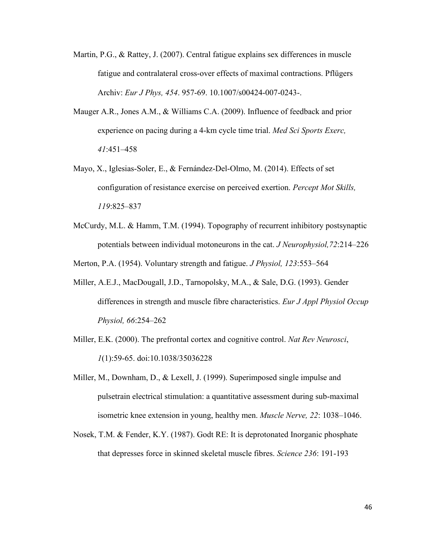- Martin, P.G., & Rattey, J. (2007). Central fatigue explains sex differences in muscle fatigue and contralateral cross-over effects of maximal contractions. Pflügers Archiv: *Eur J Phys, 454*. 957-69. 10.1007/s00424-007-0243-.
- Mauger A.R., Jones A.M., & Williams C.A. (2009). Influence of feedback and prior experience on pacing during a 4-km cycle time trial. *Med Sci Sports Exerc, 41*:451–458
- Mayo, X., Iglesias-Soler, E., & Fernández-Del-Olmo, M. (2014). Effects of set configuration of resistance exercise on perceived exertion. *Percept Mot Skills, 119*:825–837
- McCurdy, M.L. & Hamm, T.M. (1994). Topography of recurrent inhibitory postsynaptic potentials between individual motoneurons in the cat. *J Neurophysiol,72*:214–226

Merton, P.A. (1954). Voluntary strength and fatigue. *J Physiol, 123*:553–564

- Miller, A.E.J., MacDougall, J.D., Tarnopolsky, M.A., & Sale, D.G. (1993). Gender differences in strength and muscle fibre characteristics. *Eur J Appl Physiol Occup Physiol, 66*:254–262
- Miller, E.K. (2000). The prefrontal cortex and cognitive control. *Nat Rev Neurosci*, *1*(1):59-65. doi:10.1038/35036228
- Miller, M., Downham, D., & Lexell, J. (1999). Superimposed single impulse and pulsetrain electrical stimulation: a quantitative assessment during sub-maximal isometric knee extension in young, healthy men. *Muscle Nerve, 22*: 1038–1046.
- Nosek, T.M. & Fender, K.Y. (1987). Godt RE: It is deprotonated Inorganic phosphate that depresses force in skinned skeletal muscle fibres. *Science 236*: 191-193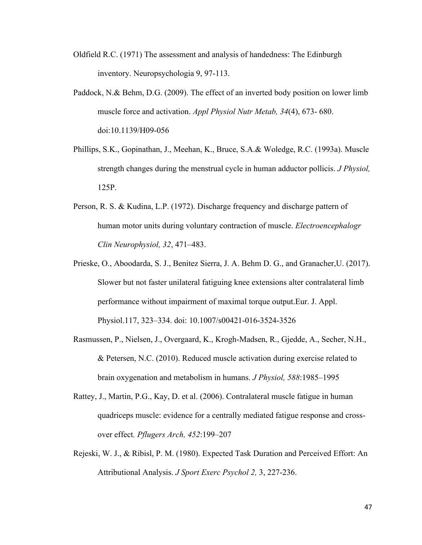- Oldfield R.C. (1971) The assessment and analysis of handedness: The Edinburgh inventory. Neuropsychologia 9, 97-113.
- Paddock, N.& Behm, D.G. (2009). The effect of an inverted body position on lower limb muscle force and activation. *Appl Physiol Nutr Metab, 34*(4), 673- 680. doi:10.1139/H09-056
- Phillips, S.K., Gopinathan, J., Meehan, K., Bruce, S.A.& Woledge, R.C. (1993a). Muscle strength changes during the menstrual cycle in human adductor pollicis. *J Physiol,* 125P.
- Person, R. S. & Kudina, L.P. (1972). Discharge frequency and discharge pattern of human motor units during voluntary contraction of muscle. *Electroencephalogr Clin Neurophysiol, 32*, 471–483.
- Prieske, O., Aboodarda, S. J., Benitez Sierra, J. A. Behm D. G., and Granacher,U. (2017). Slower but not faster unilateral fatiguing knee extensions alter contralateral limb performance without impairment of maximal torque output.Eur. J. Appl. Physiol.117, 323–334. doi: 10.1007/s00421-016-3524-3526
- Rasmussen, P., Nielsen, J., Overgaard, K., Krogh-Madsen, R., Gjedde, A., Secher, N.H., & Petersen, N.C. (2010). Reduced muscle activation during exercise related to brain oxygenation and metabolism in humans. *J Physiol, 588*:1985–1995
- Rattey, J., Martin, P.G., Kay, D. et al. (2006). Contralateral muscle fatigue in human quadriceps muscle: evidence for a centrally mediated fatigue response and crossover effect*. Pflugers Arch, 452*:199–207
- Rejeski, W. J., & Ribisl, P. M. (1980). Expected Task Duration and Perceived Effort: An Attributional Analysis. *J Sport Exerc Psychol 2,* 3, 227-236.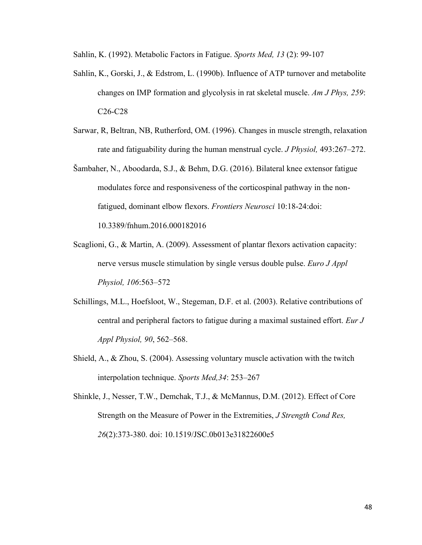Sahlin, K. (1992). Metabolic Factors in Fatigue. *Sports Med, 13* (2): 99-107

- Sahlin, K., Gorski, J., & Edstrom, L. (1990b). Influence of ATP turnover and metabolite changes on IMP formation and glycolysis in rat skeletal muscle. *Am J Phys, 259*: C26-C28
- Sarwar, R, Beltran, NB, Rutherford, OM. (1996). Changes in muscle strength, relaxation rate and fatiguability during the human menstrual cycle. *J Physiol,* 493:267–272.
- Šambaher, N., Aboodarda, S.J., & Behm, D.G. (2016). Bilateral knee extensor fatigue modulates force and responsiveness of the corticospinal pathway in the nonfatigued, dominant elbow flexors. *Frontiers Neurosci* 10:18-24:doi: 10.3389/fnhum.2016.000182016
- Scaglioni, G., & Martin, A. (2009). Assessment of plantar flexors activation capacity: nerve versus muscle stimulation by single versus double pulse. *Euro J Appl Physiol, 106*:563–572
- Schillings, M.L., Hoefsloot, W., Stegeman, D.F. et al. (2003). Relative contributions of central and peripheral factors to fatigue during a maximal sustained effort. *Eur J Appl Physiol, 90*, 562–568.
- Shield, A., & Zhou, S. (2004). Assessing voluntary muscle activation with the twitch interpolation technique. *Sports Med,34*: 253–267
- Shinkle, J., Nesser, T.W., Demchak, T.J., & McMannus, D.M. (2012). Effect of Core Strength on the Measure of Power in the Extremities, *J Strength Cond Res, 26*(2):373-380. doi: 10.1519/JSC.0b013e31822600e5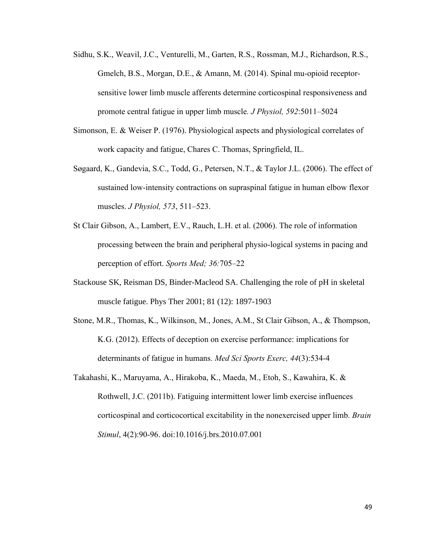- Sidhu, S.K., Weavil, J.C., Venturelli, M., Garten, R.S., Rossman, M.J., Richardson, R.S., Gmelch, B.S., Morgan, D.E., & Amann, M. (2014). Spinal mu-opioid receptorsensitive lower limb muscle afferents determine corticospinal responsiveness and promote central fatigue in upper limb muscle*. J Physiol, 592*:5011–5024
- Simonson, E. & Weiser P. (1976). Physiological aspects and physiological correlates of work capacity and fatigue, Chares C. Thomas, Springfield, IL.
- Søgaard, K., Gandevia, S.C., Todd, G., Petersen, N.T., & Taylor J.L. (2006). The effect of sustained low-intensity contractions on supraspinal fatigue in human elbow flexor muscles. *J Physiol, 573*, 511–523.
- St Clair Gibson, A., Lambert, E.V., Rauch, L.H. et al. (2006). The role of information processing between the brain and peripheral physio-logical systems in pacing and perception of effort. *Sports Med; 36:*705–22
- Stackouse SK, Reisman DS, Binder-Macleod SA. Challenging the role of pH in skeletal muscle fatigue. Phys Ther 2001; 81 (12): 1897-1903
- Stone, M.R., Thomas, K., Wilkinson, M., Jones, A.M., St Clair Gibson, A., & Thompson, K.G. (2012). Effects of deception on exercise performance: implications for determinants of fatigue in humans. *Med Sci Sports Exerc, 44*(3):534-4
- Takahashi, K., Maruyama, A., Hirakoba, K., Maeda, M., Etoh, S., Kawahira, K. & Rothwell, J.C. (2011b). Fatiguing intermittent lower limb exercise influences corticospinal and corticocortical excitability in the nonexercised upper limb. *Brain Stimul*, 4(2):90-96. doi:10.1016/j.brs.2010.07.001